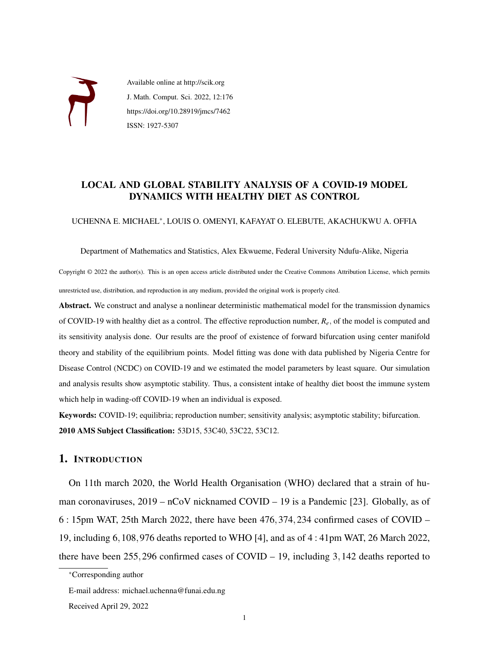

Available online at http://scik.org J. Math. Comput. Sci. 2022, 12:176 https://doi.org/10.28919/jmcs/7462 ISSN: 1927-5307

# LOCAL AND GLOBAL STABILITY ANALYSIS OF A COVID-19 MODEL DYNAMICS WITH HEALTHY DIET AS CONTROL

UCHENNA E. MICHAEL<sup>∗</sup> , LOUIS O. OMENYI, KAFAYAT O. ELEBUTE, AKACHUKWU A. OFFIA

Department of Mathematics and Statistics, Alex Ekwueme, Federal University Ndufu-Alike, Nigeria

Copyright © 2022 the author(s). This is an open access article distributed under the Creative Commons Attribution License, which permits unrestricted use, distribution, and reproduction in any medium, provided the original work is properly cited.

Abstract. We construct and analyse a nonlinear deterministic mathematical model for the transmission dynamics of COVID-19 with healthy diet as a control. The effective reproduction number, *Re*, of the model is computed and its sensitivity analysis done. Our results are the proof of existence of forward bifurcation using center manifold theory and stability of the equilibrium points. Model fitting was done with data published by Nigeria Centre for Disease Control (NCDC) on COVID-19 and we estimated the model parameters by least square. Our simulation and analysis results show asymptotic stability. Thus, a consistent intake of healthy diet boost the immune system which help in wading-off COVID-19 when an individual is exposed.

Keywords: COVID-19; equilibria; reproduction number; sensitivity analysis; asymptotic stability; bifurcation. 2010 AMS Subject Classification: 53D15, 53C40, 53C22, 53C12.

# 1. INTRODUCTION

On 11th march 2020, the World Health Organisation (WHO) declared that a strain of human coronaviruses, 2019 – nCoV nicknamed COVID – 19 is a Pandemic [\[23\]](#page-28-0). Globally, as of 6 : 15pm WAT, 25th March 2022, there have been 476,374,234 confirmed cases of COVID – 19, including 6,108,976 deaths reported to WHO [\[4\]](#page-27-0), and as of 4 : 41pm WAT, 26 March 2022, there have been 255,296 confirmed cases of COVID – 19, including 3,142 deaths reported to

<sup>∗</sup>Corresponding author

E-mail address: michael.uchenna@funai.edu.ng

Received April 29, 2022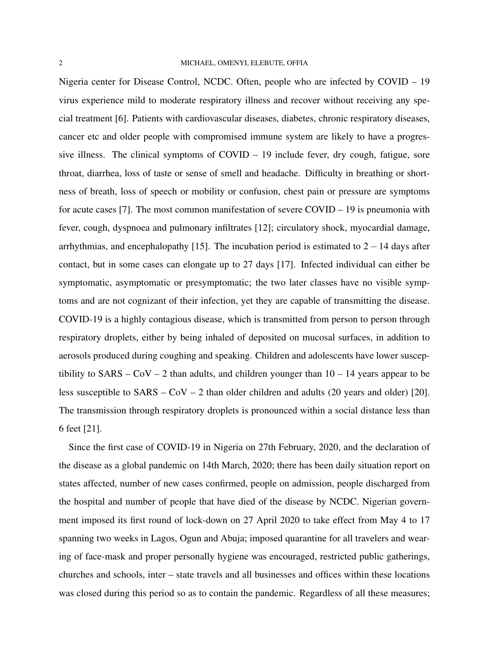Nigeria center for Disease Control, NCDC. Often, people who are infected by COVID – 19 virus experience mild to moderate respiratory illness and recover without receiving any special treatment [\[6\]](#page-27-1). Patients with cardiovascular diseases, diabetes, chronic respiratory diseases, cancer etc and older people with compromised immune system are likely to have a progressive illness. The clinical symptoms of COVID – 19 include fever, dry cough, fatigue, sore throat, diarrhea, loss of taste or sense of smell and headache. Difficulty in breathing or shortness of breath, loss of speech or mobility or confusion, chest pain or pressure are symptoms for acute cases [\[7\]](#page-27-2). The most common manifestation of severe COVID – 19 is pneumonia with fever, cough, dyspnoea and pulmonary infiltrates [\[12\]](#page-28-1); circulatory shock, myocardial damage, arrhythmias, and encephalopathy [\[15\]](#page-28-2). The incubation period is estimated to  $2-14$  days after contact, but in some cases can elongate up to 27 days [\[17\]](#page-28-3). Infected individual can either be symptomatic, asymptomatic or presymptomatic; the two later classes have no visible symptoms and are not cognizant of their infection, yet they are capable of transmitting the disease. COVID-19 is a highly contagious disease, which is transmitted from person to person through respiratory droplets, either by being inhaled of deposited on mucosal surfaces, in addition to aerosols produced during coughing and speaking. Children and adolescents have lower susceptibility to  $SARS - COV - 2$  than adults, and children younger than  $10 - 14$  years appear to be less susceptible to SARS – CoV – 2 than older children and adults (20 years and older) [\[20\]](#page-28-4). The transmission through respiratory droplets is pronounced within a social distance less than 6 feet [\[21\]](#page-28-5).

Since the first case of COVID-19 in Nigeria on 27th February, 2020, and the declaration of the disease as a global pandemic on 14th March, 2020; there has been daily situation report on states affected, number of new cases confirmed, people on admission, people discharged from the hospital and number of people that have died of the disease by NCDC. Nigerian government imposed its first round of lock-down on 27 April 2020 to take effect from May 4 to 17 spanning two weeks in Lagos, Ogun and Abuja; imposed quarantine for all travelers and wearing of face-mask and proper personally hygiene was encouraged, restricted public gatherings, churches and schools, inter – state travels and all businesses and offices within these locations was closed during this period so as to contain the pandemic. Regardless of all these measures;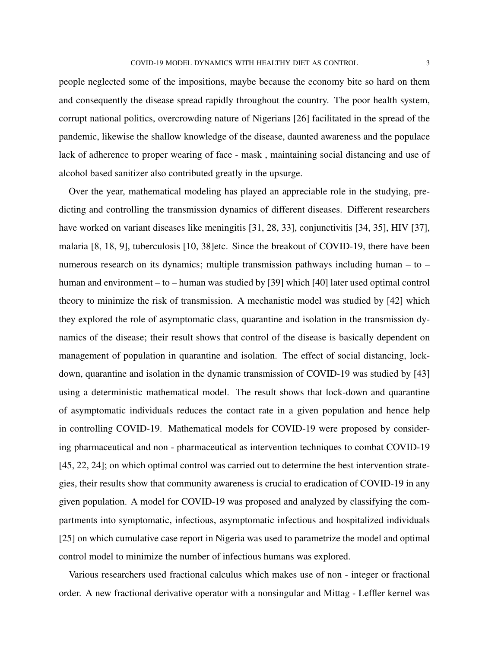people neglected some of the impositions, maybe because the economy bite so hard on them and consequently the disease spread rapidly throughout the country. The poor health system, corrupt national politics, overcrowding nature of Nigerians [\[26\]](#page-28-6) facilitated in the spread of the pandemic, likewise the shallow knowledge of the disease, daunted awareness and the populace lack of adherence to proper wearing of face - mask , maintaining social distancing and use of alcohol based sanitizer also contributed greatly in the upsurge.

Over the year, mathematical modeling has played an appreciable role in the studying, predicting and controlling the transmission dynamics of different diseases. Different researchers have worked on variant diseases like meningitis [\[31,](#page-29-0) [28,](#page-28-7) [33\]](#page-29-1), conjunctivitis [\[34,](#page-29-2) [35\]](#page-29-3), HIV [\[37\]](#page-29-4), malaria [\[8,](#page-27-3) [18,](#page-28-8) [9\]](#page-27-4), tuberculosis [\[10,](#page-27-5) [38\]](#page-29-5)etc. Since the breakout of COVID-19, there have been numerous research on its dynamics; multiple transmission pathways including human – to – human and environment – to – human was studied by [\[39\]](#page-29-6) which [\[40\]](#page-29-7) later used optimal control theory to minimize the risk of transmission. A mechanistic model was studied by [\[42\]](#page-29-8) which they explored the role of asymptomatic class, quarantine and isolation in the transmission dynamics of the disease; their result shows that control of the disease is basically dependent on management of population in quarantine and isolation. The effect of social distancing, lockdown, quarantine and isolation in the dynamic transmission of COVID-19 was studied by [\[43\]](#page-29-9) using a deterministic mathematical model. The result shows that lock-down and quarantine of asymptomatic individuals reduces the contact rate in a given population and hence help in controlling COVID-19. Mathematical models for COVID-19 were proposed by considering pharmaceutical and non - pharmaceutical as intervention techniques to combat COVID-19 [\[45,](#page-29-10) [22,](#page-28-9) [24\]](#page-28-10); on which optimal control was carried out to determine the best intervention strategies, their results show that community awareness is crucial to eradication of COVID-19 in any given population. A model for COVID-19 was proposed and analyzed by classifying the compartments into symptomatic, infectious, asymptomatic infectious and hospitalized individuals [\[25\]](#page-28-11) on which cumulative case report in Nigeria was used to parametrize the model and optimal control model to minimize the number of infectious humans was explored.

Various researchers used fractional calculus which makes use of non - integer or fractional order. A new fractional derivative operator with a nonsingular and Mittag - Leffler kernel was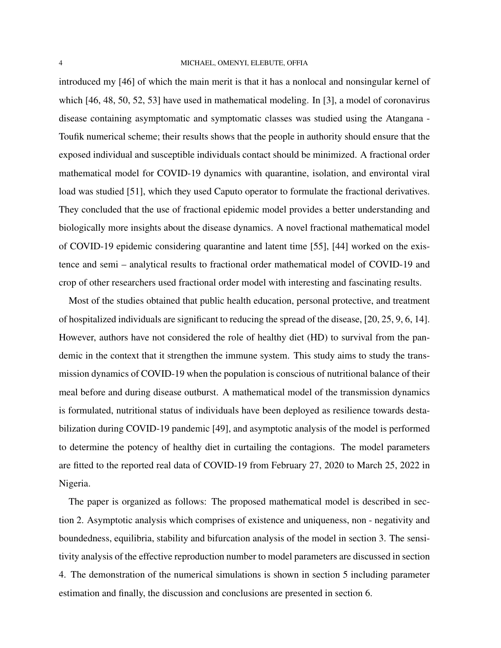#### 4 MICHAEL, OMENYI, ELEBUTE, OFFIA

introduced my [\[46\]](#page-30-0) of which the main merit is that it has a nonlocal and nonsingular kernel of which [\[46,](#page-30-0) [48,](#page-30-1) [50,](#page-30-2) [52,](#page-30-3) [53\]](#page-30-4) have used in mathematical modeling. In [\[3\]](#page-27-6), a model of coronavirus disease containing asymptomatic and symptomatic classes was studied using the Atangana - Toufik numerical scheme; their results shows that the people in authority should ensure that the exposed individual and susceptible individuals contact should be minimized. A fractional order mathematical model for COVID-19 dynamics with quarantine, isolation, and environtal viral load was studied [\[51\]](#page-30-5), which they used Caputo operator to formulate the fractional derivatives. They concluded that the use of fractional epidemic model provides a better understanding and biologically more insights about the disease dynamics. A novel fractional mathematical model of COVID-19 epidemic considering quarantine and latent time [\[55\]](#page-30-6), [\[44\]](#page-29-11) worked on the existence and semi – analytical results to fractional order mathematical model of COVID-19 and crop of other researchers used fractional order model with interesting and fascinating results.

Most of the studies obtained that public health education, personal protective, and treatment of hospitalized individuals are significant to reducing the spread of the disease, [\[20,](#page-28-4) [25,](#page-28-11) [9,](#page-27-4) [6,](#page-27-1) [14\]](#page-28-12). However, authors have not considered the role of healthy diet (HD) to survival from the pandemic in the context that it strengthen the immune system. This study aims to study the transmission dynamics of COVID-19 when the population is conscious of nutritional balance of their meal before and during disease outburst. A mathematical model of the transmission dynamics is formulated, nutritional status of individuals have been deployed as resilience towards destabilization during COVID-19 pandemic [\[49\]](#page-30-7), and asymptotic analysis of the model is performed to determine the potency of healthy diet in curtailing the contagions. The model parameters are fitted to the reported real data of COVID-19 from February 27, 2020 to March 25, 2022 in Nigeria.

The paper is organized as follows: The proposed mathematical model is described in section 2. Asymptotic analysis which comprises of existence and uniqueness, non - negativity and boundedness, equilibria, stability and bifurcation analysis of the model in section 3. The sensitivity analysis of the effective reproduction number to model parameters are discussed in section 4. The demonstration of the numerical simulations is shown in section 5 including parameter estimation and finally, the discussion and conclusions are presented in section 6.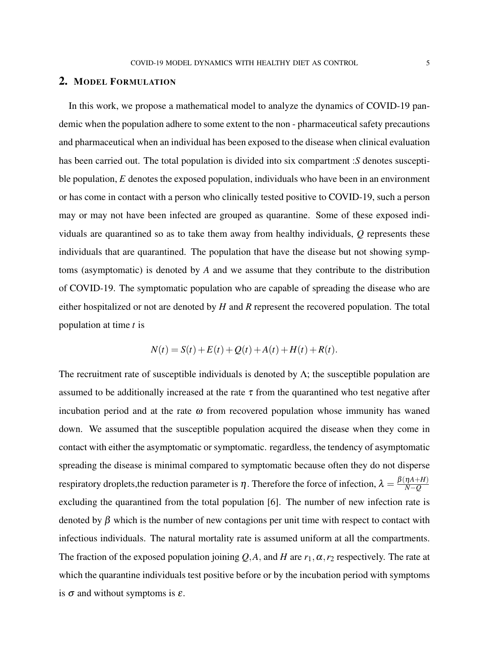#### 2. MODEL FORMULATION

In this work, we propose a mathematical model to analyze the dynamics of COVID-19 pandemic when the population adhere to some extent to the non - pharmaceutical safety precautions and pharmaceutical when an individual has been exposed to the disease when clinical evaluation has been carried out. The total population is divided into six compartment :*S* denotes susceptible population, *E* denotes the exposed population, individuals who have been in an environment or has come in contact with a person who clinically tested positive to COVID-19, such a person may or may not have been infected are grouped as quarantine. Some of these exposed individuals are quarantined so as to take them away from healthy individuals, *Q* represents these individuals that are quarantined. The population that have the disease but not showing symptoms (asymptomatic) is denoted by *A* and we assume that they contribute to the distribution of COVID-19. The symptomatic population who are capable of spreading the disease who are either hospitalized or not are denoted by *H* and *R* represent the recovered population. The total population at time *t* is

$$
N(t) = S(t) + E(t) + Q(t) + A(t) + H(t) + R(t).
$$

The recruitment rate of susceptible individuals is denoted by  $\Lambda$ ; the susceptible population are assumed to be additionally increased at the rate  $\tau$  from the quarantined who test negative after incubation period and at the rate  $\omega$  from recovered population whose immunity has waned down. We assumed that the susceptible population acquired the disease when they come in contact with either the asymptomatic or symptomatic. regardless, the tendency of asymptomatic spreading the disease is minimal compared to symptomatic because often they do not disperse respiratory droplets, the reduction parameter is  $\eta$ . Therefore the force of infection,  $\lambda = \frac{\beta(\eta A + H)}{N - Q}$ *N*−*Q* excluding the quarantined from the total population [\[6\]](#page-27-1). The number of new infection rate is denoted by  $\beta$  which is the number of new contagions per unit time with respect to contact with infectious individuals. The natural mortality rate is assumed uniform at all the compartments. The fraction of the exposed population joining  $Q$ , A, and H are  $r_1$ ,  $\alpha$ ,  $r_2$  respectively. The rate at which the quarantine individuals test positive before or by the incubation period with symptoms is  $\sigma$  and without symptoms is  $\varepsilon$ .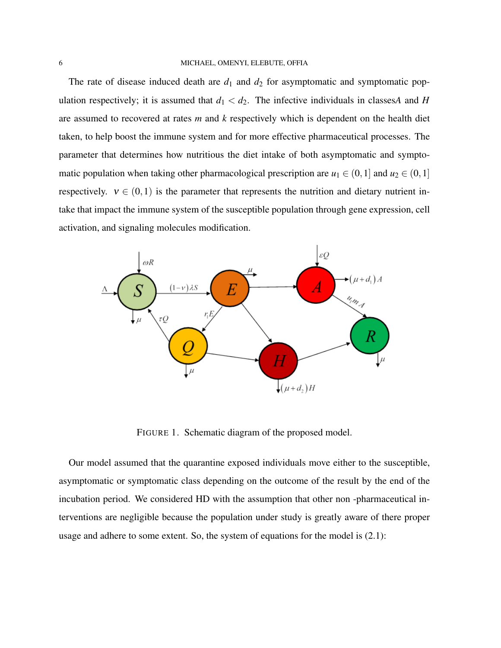The rate of disease induced death are  $d_1$  and  $d_2$  for asymptomatic and symptomatic population respectively; it is assumed that  $d_1 < d_2$ . The infective individuals in classes *A* and *H* are assumed to recovered at rates *m* and *k* respectively which is dependent on the health diet taken, to help boost the immune system and for more effective pharmaceutical processes. The parameter that determines how nutritious the diet intake of both asymptomatic and symptomatic population when taking other pharmacological prescription are  $u_1 \in (0,1]$  and  $u_2 \in (0,1]$ respectively.  $v \in (0,1)$  is the parameter that represents the nutrition and dietary nutrient intake that impact the immune system of the susceptible population through gene expression, cell activation, and signaling molecules modification.



FIGURE 1. Schematic diagram of the proposed model.

Our model assumed that the quarantine exposed individuals move either to the susceptible, asymptomatic or symptomatic class depending on the outcome of the result by the end of the incubation period. We considered HD with the assumption that other non -pharmaceutical interventions are negligible because the population under study is greatly aware of there proper usage and adhere to some extent. So, the system of equations for the model is [\(2.1\)](#page-6-0):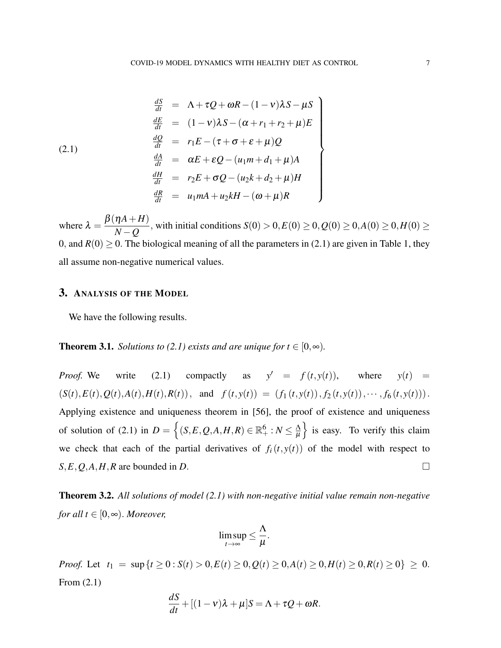<span id="page-6-0"></span>(2.1)  
\n
$$
\begin{array}{rcl}\n\frac{dS}{dt} &=& \Lambda + \tau Q + \omega R - (1 - v)\lambda S - \mu S \\
\frac{dE}{dt} &=& (1 - v)\lambda S - (\alpha + r_1 + r_2 + \mu)E \\
\frac{dQ}{dt} &=& r_1 E - (\tau + \sigma + \varepsilon + \mu)Q \\
\frac{dA}{dt} &=& \alpha E + \varepsilon Q - (u_1 m + d_1 + \mu)A \\
\frac{dH}{dt} &=& r_2 E + \sigma Q - (u_2 k + d_2 + \mu)H \\
\frac{dR}{dt} &=& u_1 mA + u_2 kH - (\omega + \mu)R\n\end{array}
$$

where  $\lambda =$ β(η*A*+*H*) *N*<sup>*n*</sup> − *Q*</sub>, with initial conditions *S*(0) > 0,*E*(0) ≥ 0,*Q*(0) ≥ 0,*A*(0) ≥ 0,*H*(0) ≥ 0, and  $R(0) > 0$ . The biological meaning of all the parameters in [\(2.1\)](#page-6-0) are given in Table [1,](#page-7-0) they all assume non-negative numerical values.

## 3. ANALYSIS OF THE MODEL

We have the following results.

### **Theorem 3.1.** *Solutions to [\(2.1\)](#page-6-0) exists and are unique for t*  $\in$  [0, $\infty$ ).

*Proof.* We write [\(2.1\)](#page-6-0) compactly as  $y' = f(t, y(t))$ , where  $y(t) =$  $(S(t), E(t), Q(t), A(t), H(t), R(t)),$  and  $f(t, y(t)) = (f_1(t, y(t)), f_2(t, y(t)), \cdots, f_6(t, y(t))).$ Applying existence and uniqueness theorem in [\[56\]](#page-29-12), the proof of existence and uniqueness of solution of [\(2.1\)](#page-6-0) in  $D = \left\{ (S, E, Q, A, H, R) \in \mathbb{R}_+^6 : N \leq \frac{\Lambda}{\mu} \right\}$  $\mu$ } is easy. To verify this claim we check that each of the partial derivatives of  $f_i(t, y(t))$  of the model with respect to  $S, E, Q, A, H, R$  are bounded in *D*.

Theorem 3.2. *All solutions of model [\(2.1\)](#page-6-0) with non-negative initial value remain non-negative for all t*  $\in$  [0, $\infty$ ). *Moreover,* 

$$
\limsup_{t\to\infty}\leq \frac{\Lambda}{\mu}.
$$

*Proof.* Let  $t_1 = \sup\{t \ge 0 : S(t) > 0, E(t) \ge 0, Q(t) \ge 0, A(t) \ge 0, H(t) \ge 0, R(t) \ge 0\} \ge 0.$ From [\(2.1\)](#page-6-0)

$$
\frac{dS}{dt} + [(1 - v)\lambda + \mu]S = \Lambda + \tau Q + \omega R.
$$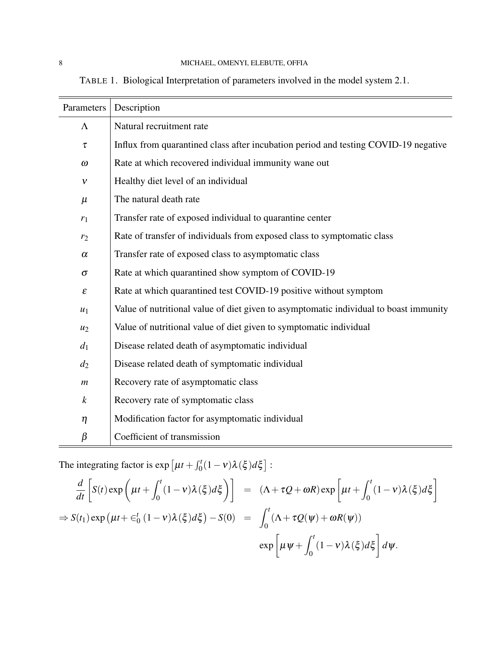<span id="page-7-0"></span>TABLE 1. Biological Interpretation of parameters involved in the model system [2.1.](#page-6-0)

| Parameters                 | Description                                                                           |
|----------------------------|---------------------------------------------------------------------------------------|
| $\Lambda$                  | Natural recruitment rate                                                              |
| τ                          | Influx from quarantined class after incubation period and testing COVID-19 negative   |
| $\omega$                   | Rate at which recovered individual immunity wane out                                  |
| $\mathcal V$               | Healthy diet level of an individual                                                   |
| $\mu$                      | The natural death rate                                                                |
| $r_1$                      | Transfer rate of exposed individual to quarantine center                              |
| r <sub>2</sub>             | Rate of transfer of individuals from exposed class to symptomatic class               |
| $\alpha$                   | Transfer rate of exposed class to asymptomatic class                                  |
| $\sigma$                   | Rate at which quarantined show symptom of COVID-19                                    |
| $\boldsymbol{\varepsilon}$ | Rate at which quarantined test COVID-19 positive without symptom                      |
| $u_1$                      | Value of nutritional value of diet given to asymptomatic individual to boast immunity |
| $u_2$                      | Value of nutritional value of diet given to symptomatic individual                    |
| $d_1$                      | Disease related death of asymptomatic individual                                      |
| $d_2$                      | Disease related death of symptomatic individual                                       |
| $\boldsymbol{m}$           | Recovery rate of asymptomatic class                                                   |
| $\boldsymbol{k}$           | Recovery rate of symptomatic class                                                    |
| $\eta$                     | Modification factor for asymptomatic individual                                       |
| $\beta$                    | Coefficient of transmission                                                           |

The integrating factor is  $\exp \left[ \mu t + \int_0^t (1 - v) \lambda(\xi) d\xi \right]$ :

$$
\frac{d}{dt} \left[ S(t) \exp \left( \mu t + \int_0^t (1 - v) \lambda(\xi) d\xi \right) \right] = (\Lambda + \tau Q + \omega R) \exp \left[ \mu t + \int_0^t (1 - v) \lambda(\xi) d\xi \right]
$$
  
\n
$$
\Rightarrow S(t_1) \exp \left( \mu t + \epsilon_0^t (1 - v) \lambda(\xi) d\xi \right) - S(0) = \int_0^t (\Lambda + \tau Q(\psi) + \omega R(\psi))
$$
  
\n
$$
\exp \left[ \mu \psi + \int_0^t (1 - v) \lambda(\xi) d\xi \right] d\psi.
$$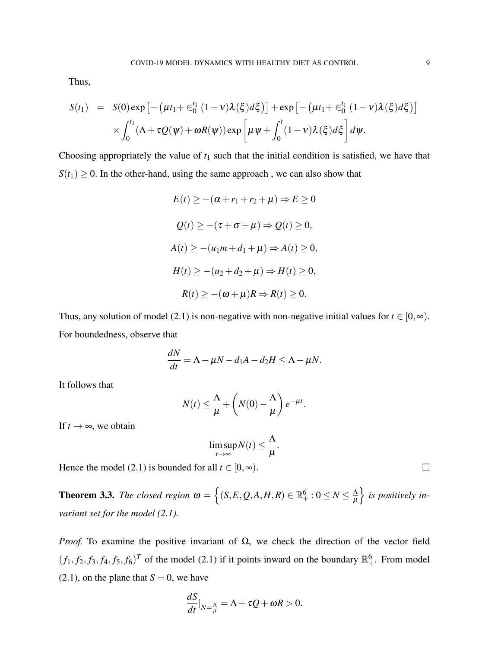Thus,

$$
S(t_1) = S(0) \exp \left[ - \left( \mu t_1 + \epsilon_0^{t_1} (1 - v) \lambda(\xi) d\xi \right) \right] + \exp \left[ - \left( \mu t_1 + \epsilon_0^{t_1} (1 - v) \lambda(\xi) d\xi \right) \right]
$$
  
 
$$
\times \int_0^{t_1} (\Lambda + \tau Q(\psi) + \omega R(\psi)) \exp \left[ \mu \psi + \int_0^t (1 - v) \lambda(\xi) d\xi \right] d\psi.
$$

Choosing appropriately the value of  $t_1$  such that the initial condition is satisfied, we have that  $S(t_1) \geq 0$ . In the other-hand, using the same approach, we can also show that

$$
E(t) \ge -(\alpha + r_1 + r_2 + \mu) \Rightarrow E \ge 0
$$
  

$$
Q(t) \ge -(\tau + \sigma + \mu) \Rightarrow Q(t) \ge 0,
$$
  

$$
A(t) \ge -(\mu_1 m + d_1 + \mu) \Rightarrow A(t) \ge 0,
$$
  

$$
H(t) \ge -(\mu_2 + d_2 + \mu) \Rightarrow H(t) \ge 0,
$$
  

$$
R(t) \ge -(\omega + \mu)R \Rightarrow R(t) \ge 0.
$$

Thus, any solution of model [\(2.1\)](#page-6-0) is non-negative with non-negative initial values for  $t \in [0, \infty)$ . For boundedness, observe that

$$
\frac{dN}{dt} = \Lambda - \mu N - d_1 A - d_2 H \le \Lambda - \mu N.
$$

It follows that

$$
N(t) \leq \frac{\Lambda}{\mu} + \left(N(0) - \frac{\Lambda}{\mu}\right)e^{-\mu t}.
$$

If  $t \to \infty$ , we obtain

$$
\limsup_{t\to\infty}N(t)\leq \frac{\Lambda}{\mu}.
$$

Hence the model [\(2.1\)](#page-6-0) is bounded for all  $t \in [0, \infty)$ .

**Theorem 3.3.** *The closed region*  $\omega = \{(S, E, Q, A, H, R) \in \mathbb{R}_+^6 : 0 \le N \le \frac{\Lambda}{\mu}\}$  $\mu$ o *is positively invariant set for the model [\(2.1\)](#page-6-0).*

*Proof.* To examine the positive invariant of  $\Omega$ , we check the direction of the vector field  $(f_1, f_2, f_3, f_4, f_5, f_6)^T$  of the model [\(2.1\)](#page-6-0) if it points inward on the boundary  $\mathbb{R}^6_+$ . From model  $(2.1)$ , on the plane that  $S = 0$ , we have

$$
\frac{dS}{dt}\big|_{N=\frac{\Lambda}{\mu}} = \Lambda + \tau Q + \omega R > 0.
$$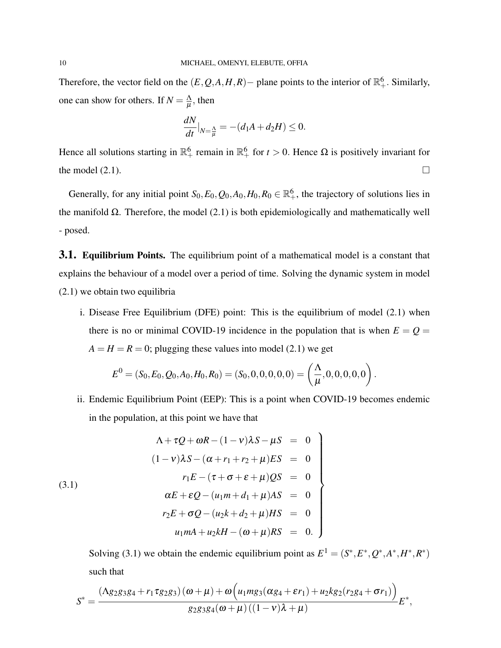Therefore, the vector field on the  $(E, Q, A, H, R)$  – plane points to the interior of  $\mathbb{R}^6_+$ . Similarly, one can show for others. If  $N = \frac{\Delta}{H}$  $\frac{\Lambda}{\mu}$ , then

$$
\frac{dN}{dt}\big|_{N=\frac{\Lambda}{\mu}} = -(d_1A + d_2H) \le 0.
$$

Hence all solutions starting in  $\mathbb{R}^6_+$  remain in  $\mathbb{R}^6_+$  for  $t > 0$ . Hence  $\Omega$  is positively invariant for the model  $(2.1)$ .

Generally, for any initial point  $S_0, E_0, Q_0, A_0, H_0, R_0 \in \mathbb{R}^6_+$ , the trajectory of solutions lies in the manifold  $\Omega$ . Therefore, the model [\(2.1\)](#page-6-0) is both epidemiologically and mathematically well - posed.

**3.1. Equilibrium Points.** The equilibrium point of a mathematical model is a constant that explains the behaviour of a model over a period of time. Solving the dynamic system in model [\(2.1\)](#page-6-0) we obtain two equilibria

i. Disease Free Equilibrium (DFE) point: This is the equilibrium of model [\(2.1\)](#page-6-0) when there is no or minimal COVID-19 incidence in the population that is when  $E = Q =$  $A = H = R = 0$ ; plugging these values into model [\(2.1\)](#page-6-0) we get

$$
E^{0} = (S_0, E_0, Q_0, A_0, H_0, R_0) = (S_0, 0, 0, 0, 0, 0) = \left(\frac{\Lambda}{\mu}, 0, 0, 0, 0, 0\right).
$$

ii. Endemic Equilibrium Point (EEP): This is a point when COVID-19 becomes endemic in the population, at this point we have that

<span id="page-9-0"></span>(3.1)  
\n
$$
\Lambda + \tau Q + \omega R - (1 - v)\lambda S - \mu S = 0
$$
\n
$$
(1 - v)\lambda S - (\alpha + r_1 + r_2 + \mu)ES = 0
$$
\n
$$
r_1 E - (\tau + \sigma + \varepsilon + \mu)QS = 0
$$
\n
$$
\alpha E + \varepsilon Q - (u_1 m + d_1 + \mu)AS = 0
$$
\n
$$
r_2 E + \sigma Q - (u_2 k + d_2 + \mu)HS = 0
$$
\n
$$
u_1 mA + u_2 kH - (\omega + \mu)RS = 0.
$$

Solving [\(3.1\)](#page-9-0) we obtain the endemic equilibrium point as  $E^1 = (S^*, E^*, Q^*, A^*, H^*, R^*)$ such that

$$
S^* = \frac{(\Lambda g_2 g_3 g_4 + r_1 \tau g_2 g_3) (\omega + \mu) + \omega \Big( u_1 m g_3 (\alpha g_4 + \varepsilon r_1) + u_2 k g_2 (r_2 g_4 + \sigma r_1) \Big)}{g_2 g_3 g_4 (\omega + \mu) ((1 - v) \lambda + \mu)} E^*,
$$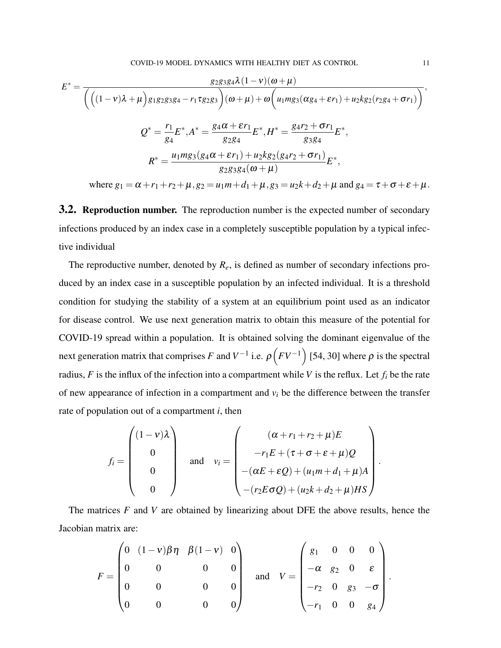$$
E^* = \frac{g_2 g_3 g_4 \lambda (1 - v)(\omega + \mu)}{\left( \left( (1 - v)\lambda + \mu \right) g_1 g_2 g_3 g_4 - r_1 \tau g_2 g_3 \right) (\omega + \mu) + \omega \left( u_1 m g_3 (\alpha g_4 + \varepsilon r_1) + u_2 k g_2 (r_2 g_4 + \sigma r_1) \right)},
$$
  

$$
Q^* = \frac{r_1}{g_4} E^*, A^* = \frac{g_4 \alpha + \varepsilon r_1}{g_2 g_4} E^*, H^* = \frac{g_4 r_2 + \sigma r_1}{g_3 g_4} E^*,
$$
  

$$
R^* = \frac{u_1 m g_3 (g_4 \alpha + \varepsilon r_1) + u_2 k g_2 (g_4 r_2 + \sigma r_1)}{g_2 g_3 g_4 (\omega + \mu)} E^*,
$$

where  $g_1 = \alpha + r_1 + r_2 + \mu$ ,  $g_2 = u_1 m + d_1 + \mu$ ,  $g_3 = u_2 k + d_2 + \mu$  and  $g_4 = \tau + \sigma + \varepsilon + \mu$ .

**3.2. Reproduction number.** The reproduction number is the expected number of secondary infections produced by an index case in a completely susceptible population by a typical infective individual

The reproductive number, denoted by *Re*, is defined as number of secondary infections produced by an index case in a susceptible population by an infected individual. It is a threshold condition for studying the stability of a system at an equilibrium point used as an indicator for disease control. We use next generation matrix to obtain this measure of the potential for COVID-19 spread within a population. It is obtained solving the dominant eigenvalue of the next generation matrix that comprises *F* and  $V^{-1}$  i.e.  $\rho\left(FV^{-1}\right)$  [\[54,](#page-29-13) [30\]](#page-27-7) where  $\rho$  is the spectral radius, *F* is the influx of the infection into a compartment while *V* is the reflux. Let  $f_i$  be the rate of new appearance of infection in a compartment and  $v_i$  be the difference between the transfer rate of population out of a compartment *i*, then

$$
f_i = \begin{pmatrix} (1 - v)\lambda \\ 0 \\ 0 \\ 0 \end{pmatrix} \quad \text{and} \quad v_i = \begin{pmatrix} (\alpha + r_1 + r_2 + \mu)E \\ -r_1E + (\tau + \sigma + \varepsilon + \mu)Q \\ -(\alpha E + \varepsilon Q) + (u_1m + d_1 + \mu)A \\ -(r_2E\sigma Q) + (u_2k + d_2 + \mu)HS \end{pmatrix}.
$$

The matrices *F* and *V* are obtained by linearizing about DFE the above results, hence the Jacobian matrix are:

$$
F = \begin{pmatrix} 0 & (1-v)\beta\eta & \beta(1-v) & 0 \\ 0 & 0 & 0 & 0 \\ 0 & 0 & 0 & 0 \\ 0 & 0 & 0 & 0 \end{pmatrix} \quad \text{and} \quad V = \begin{pmatrix} g_1 & 0 & 0 & 0 \\ -\alpha & g_2 & 0 & \varepsilon \\ -r_2 & 0 & g_3 & -\sigma \\ -r_1 & 0 & 0 & g_4 \end{pmatrix}.
$$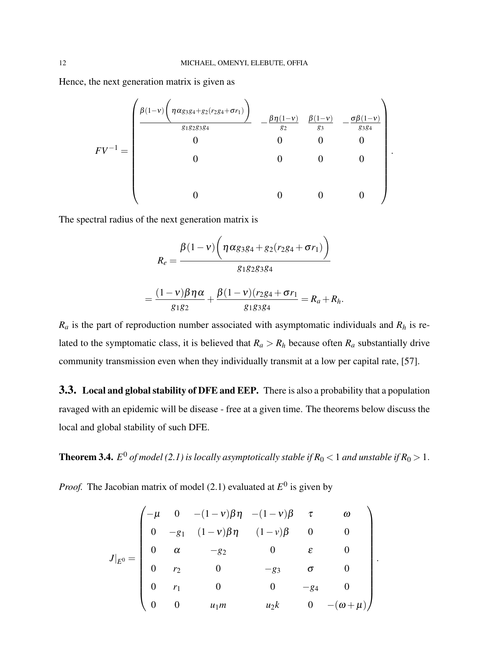Hence, the next generation matrix is given as

$$
FV^{-1} = \begin{pmatrix} \frac{\beta(1-v)\left(\eta \alpha_{3384} + g_2(r_2g_4 + \sigma r_1)\right)}{g_{1}g_{2}g_{3}g_4} & -\frac{\beta\eta(1-v)}{g_2} & \frac{\beta(1-v)}{g_3} & -\frac{\sigma\beta(1-v)}{g_{3}g_4} \\ 0 & 0 & 0 & 0 \\ 0 & 0 & 0 & 0 \\ 0 & 0 & 0 & 0 \end{pmatrix}.
$$

The spectral radius of the next generation matrix is

$$
R_e = \frac{\beta(1-v)\bigg(\eta\alpha_{g_3g_4} + g_2(r_2g_4 + \sigma r_1)\bigg)}{g_1g_2g_3g_4}
$$

$$
=\frac{(1-v)\beta\eta\alpha}{g_1g_2}+\frac{\beta(1-v)(r_2g_4+\sigma r_1)}{g_1g_3g_4}=R_a+R_h.
$$

 $R_a$  is the part of reproduction number associated with asymptomatic individuals and  $R_h$  is related to the symptomatic class, it is believed that  $R_a > R_h$  because often  $R_a$  substantially drive community transmission even when they individually transmit at a low per capital rate, [\[57\]](#page-28-13).

3.3. Local and global stability of DFE and EEP. There is also a probability that a population ravaged with an epidemic will be disease - free at a given time. The theorems below discuss the local and global stability of such DFE.

**Theorem 3.4.**  $E^0$  of model [\(2.1\)](#page-6-0) is locally asymptotically stable if  $R_0 < 1$  and unstable if  $R_0 > 1$ .

*Proof.* The Jacobian matrix of model  $(2.1)$  evaluated at  $E^0$  is given by

$$
J|_{E^{0}} = \begin{pmatrix}\n-\mu & 0 & -(1-\nu)\beta\eta & -(1-\nu)\beta & \tau & \omega \\
0 & -g_{1} & (1-\nu)\beta\eta & (1-\nu)\beta & 0 & 0 \\
0 & \alpha & -g_{2} & 0 & \varepsilon & 0 \\
0 & r_{2} & 0 & -g_{3} & \sigma & 0 \\
0 & r_{1} & 0 & 0 & -g_{4} & 0 \\
0 & 0 & u_{1}m & u_{2}k & 0 & -(\omega+\mu)\n\end{pmatrix}
$$

.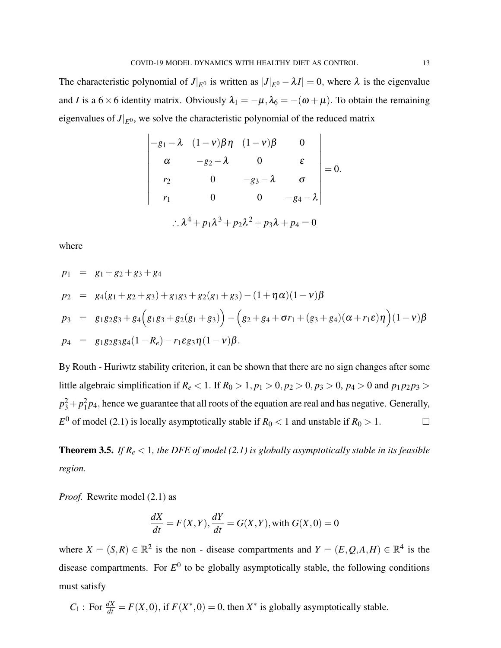The characteristic polynomial of  $J|_{E^0}$  is written as  $|J|_{E^0} - \lambda I| = 0$ , where  $\lambda$  is the eigenvalue and *I* is a 6 × 6 identity matrix. Obviously  $\lambda_1 = -\mu$ ,  $\lambda_6 = -(\omega + \mu)$ . To obtain the remaining eigenvalues of  $J|_{E^0}$ , we solve the characteristic polynomial of the reduced matrix

$$
\begin{vmatrix}\n-g_1 - \lambda & (1 - \nu)\beta \eta & (1 - \nu)\beta & 0 \\
\alpha & -g_2 - \lambda & 0 & \varepsilon \\
r_2 & 0 & -g_3 - \lambda & \sigma \\
r_1 & 0 & 0 & -g_4 - \lambda\n\end{vmatrix} = 0.
$$
\n
$$
\therefore \lambda^4 + p_1 \lambda^3 + p_2 \lambda^2 + p_3 \lambda + p_4 = 0
$$

where

$$
p_1 = g_1 + g_2 + g_3 + g_4
$$
  
\n
$$
p_2 = g_4(g_1 + g_2 + g_3) + g_1g_3 + g_2(g_1 + g_3) - (1 + \eta \alpha)(1 - v)\beta
$$
  
\n
$$
p_3 = g_1g_2g_3 + g_4(g_1g_3 + g_2(g_1 + g_3)) - (g_2 + g_4 + \sigma r_1 + (g_3 + g_4)(\alpha + r_1 \epsilon)\eta)(1 - v)\beta
$$
  
\n
$$
p_4 = g_1g_2g_3g_4(1 - R_e) - r_1 \epsilon g_3 \eta(1 - v)\beta.
$$

By Routh - Huriwtz stability criterion, it can be shown that there are no sign changes after some little algebraic simplification if  $R_e < 1$ . If  $R_0 > 1$ ,  $p_1 > 0$ ,  $p_2 > 0$ ,  $p_3 > 0$ ,  $p_4 > 0$  and  $p_1 p_2 p_3 > 0$  $p_3^2 + p_1^2 p_4$ , hence we guarantee that all roots of the equation are real and has negative. Generally,  $E^0$  of model [\(2.1\)](#page-6-0) is locally asymptotically stable if  $R_0 < 1$  and unstable if  $R_0 > 1$ .

**Theorem 3.5.** *If*  $R_e$  < 1*, the DFE of model* [\(2.1\)](#page-6-0) *is globally asymptotically stable in its feasible region.*

*Proof.* Rewrite model [\(2.1\)](#page-6-0) as

$$
\frac{dX}{dt} = F(X, Y), \frac{dY}{dt} = G(X, Y), \text{with } G(X, 0) = 0
$$

where  $X = (S, R) \in \mathbb{R}^2$  is the non - disease compartments and  $Y = (E, Q, A, H) \in \mathbb{R}^4$  is the disease compartments. For  $E^0$  to be globally asymptotically stable, the following conditions must satisfy

 $C_1$ : For  $\frac{dX}{dt} = F(X,0)$ , if  $F(X^*,0) = 0$ , then  $X^*$  is globally asymptotically stable.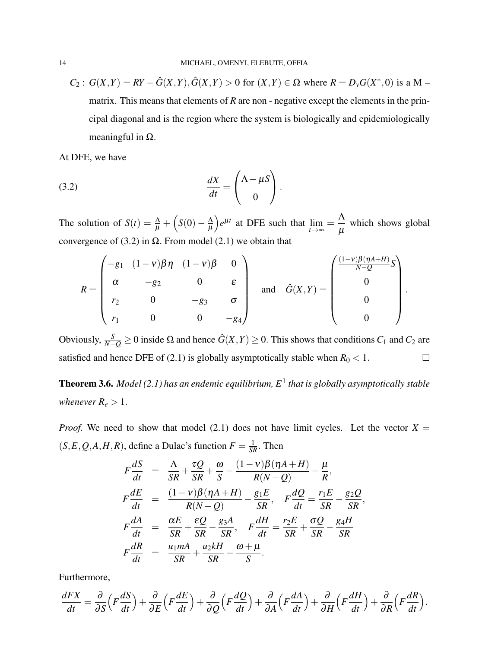$C_2$ :  $G(X,Y) = RY - \hat{G}(X,Y), \hat{G}(X,Y) > 0$  for  $(X,Y) \in \Omega$  where  $R = D_y G(X^*,0)$  is a M – matrix. This means that elements of *R* are non - negative except the elements in the principal diagonal and is the region where the system is biologically and epidemiologically meaningful in  $Ω$ .

<span id="page-13-0"></span>At DFE, we have

(3.2) 
$$
\frac{dX}{dt} = \begin{pmatrix} \Lambda - \mu S \\ 0 \end{pmatrix}.
$$

The solution of  $S(t) = \frac{\Lambda}{\mu} + \left(S(0) - \frac{\Lambda}{\mu}\right)$  $\mu$  $\int e^{\mu t}$  at DFE such that  $\lim_{t \to \infty} = \frac{\Lambda}{\mu}$  $\mu$ which shows global convergence of [\(3.2\)](#page-13-0) in  $Ω$ . From model [\(2.1\)](#page-6-0) we obtain that

$$
R = \begin{pmatrix} -g_1 & (1-v)\beta \eta & (1-v)\beta & 0 \\ \alpha & -g_2 & 0 & \varepsilon \\ r_2 & 0 & -g_3 & \sigma \\ r_1 & 0 & 0 & -g_4 \end{pmatrix} \quad \text{and} \quad \hat{G}(X,Y) = \begin{pmatrix} \frac{(1-v)\beta(\eta A + H)}{N-Q}S \\ 0 \\ 0 \\ 0 \end{pmatrix}.
$$

Obviously,  $\frac{S}{N-Q}$  ≥ 0 inside Ω and hence  $\hat{G}(X,Y)$  ≥ 0. This shows that conditions  $C_1$  and  $C_2$  are satisfied and hence DFE of [\(2.1\)](#page-6-0) is globally asymptotically stable when  $R_0 < 1$ .

Theorem 3.6. *Model [\(2.1\)](#page-6-0) has an endemic equilibrium, E*<sup>1</sup> *that is globally asymptotically stable whenever*  $R_e > 1$ .

*Proof.* We need to show that model [\(2.1\)](#page-6-0) does not have limit cycles. Let the vector  $X =$  $(S, E, Q, A, H, R)$ , define a Dulac's function  $F = \frac{1}{SR}$ . Then

$$
F\frac{dS}{dt} = \frac{\Lambda}{SR} + \frac{\tau Q}{SR} + \frac{\omega}{S} - \frac{(1-\nu)\beta(\eta A + H)}{R(N-Q)} - \frac{\mu}{R},
$$
  
\n
$$
F\frac{dE}{dt} = \frac{(1-\nu)\beta(\eta A + H)}{R(N-Q)} - \frac{g_1E}{SR}, \quad F\frac{dQ}{dt} = \frac{r_1E}{SR} - \frac{g_2Q}{SR}
$$
  
\n
$$
F\frac{dA}{dt} = \frac{\alpha E}{SR} + \frac{\epsilon Q}{SR} - \frac{g_3A}{SR}, \quad F\frac{dH}{dt} = \frac{r_2E}{SR} + \frac{\sigma Q}{SR} - \frac{g_4H}{SR}
$$
  
\n
$$
F\frac{dR}{dt} = \frac{u_1mA}{SR} + \frac{u_2kH}{SR} - \frac{\omega + \mu}{S}.
$$

,

Furthermore,

$$
\frac{dFX}{dt} = \frac{\partial}{\partial S} \left( F \frac{dS}{dt} \right) + \frac{\partial}{\partial E} \left( F \frac{dE}{dt} \right) + \frac{\partial}{\partial Q} \left( F \frac{dQ}{dt} \right) + \frac{\partial}{\partial A} \left( F \frac{dA}{dt} \right) + \frac{\partial}{\partial H} \left( F \frac{dH}{dt} \right) + \frac{\partial}{\partial R} \left( F \frac{dR}{dt} \right).
$$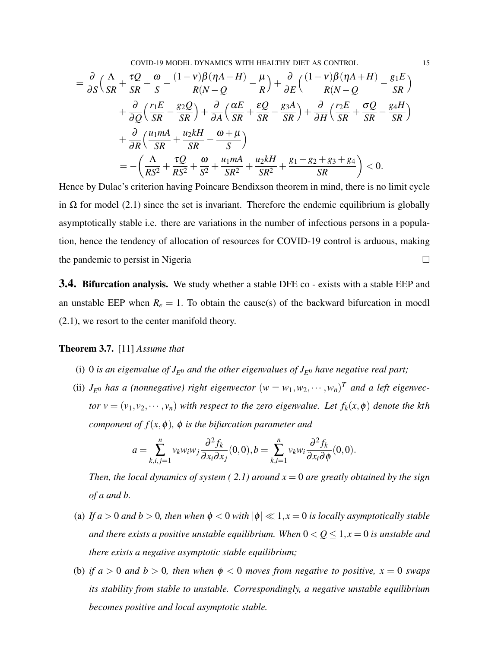COVID-19 MODEL DYNAMICS WITH HEALTHY DIET AS CONTROL 15

$$
= \frac{\partial}{\partial S} \left( \frac{\Lambda}{SR} + \frac{\tau Q}{SR} + \frac{\omega}{S} - \frac{(1-\nu)\beta(\eta A + H)}{R(N-Q} - \frac{\mu}{R} \right) + \frac{\partial}{\partial E} \left( \frac{(1-\nu)\beta(\eta A + H)}{R(N-Q} - \frac{g_1 E}{SR} \right) + \frac{\partial}{\partial Q} \left( \frac{r_1 E}{SR} - \frac{g_2 Q}{SR} \right) + \frac{\partial}{\partial A} \left( \frac{\alpha E}{SR} + \frac{\epsilon Q}{SR} - \frac{g_3 A}{SR} \right) + \frac{\partial}{\partial H} \left( \frac{r_2 E}{SR} + \frac{\sigma Q}{SR} - \frac{g_4 H}{SR} \right) + \frac{\partial}{\partial R} \left( \frac{u_1 mA}{SR} + \frac{u_2 kH}{SR} - \frac{\omega + \mu}{S} \right) = - \left( \frac{\Lambda}{RS^2} + \frac{\tau Q}{RS^2} + \frac{\omega}{S^2} + \frac{u_1 mA}{SR^2} + \frac{u_2 kH}{SR^2} + \frac{g_1 + g_2 + g_3 + g_4}{SR} \right) < 0.
$$

Hence by Dulac's criterion having Poincare Bendixson theorem in mind, there is no limit cycle in  $\Omega$  for model [\(2.1\)](#page-6-0) since the set is invariant. Therefore the endemic equilibrium is globally asymptotically stable i.e. there are variations in the number of infectious persons in a population, hence the tendency of allocation of resources for COVID-19 control is arduous, making the pandemic to persist in Nigeria

**3.4. Bifurcation analysis.** We study whether a stable DFE co - exists with a stable EEP and an unstable EEP when  $R_e = 1$ . To obtain the cause(s) of the backward bifurcation in moedl [\(2.1\)](#page-6-0), we resort to the center manifold theory.

#### Theorem 3.7. [\[11\]](#page-27-8) *Assume that*

- (i) 0 *is an eigenvalue of*  $J_{E^0}$  *and the other eigenvalues of*  $J_{E^0}$  *have negative real part*;
- (ii)  $J_{E^0}$  *has a (nonnegative) right eigenvector*  $(w = w_1, w_2, \dots, w_n)^T$  *and a left eigenvector*  $v = (v_1, v_2, \dots, v_n)$  *with respect to the zero eigenvalue. Let*  $f_k(x, \phi)$  *denote the kth component of*  $f(x, \phi)$ *,*  $\phi$  *<i>is the bifurcation parameter and*

$$
a = \sum_{k,i,j=1}^n v_k w_i w_j \frac{\partial^2 f_k}{\partial x_i \partial x_j}(0,0), b = \sum_{k,i=1}^n v_k w_i \frac{\partial^2 f_k}{\partial x_i \partial \phi}(0,0).
$$

*Then, the local dynamics of system (2.1) around*  $x = 0$  *are greatly obtained by the sign of a and b.*

- (a) If  $a > 0$  and  $b > 0$ , then when  $\phi < 0$  with  $|\phi| \ll 1, x = 0$  is locally asymptotically stable *and there exists a positive unstable equilibrium. When*  $0 < Q \le 1, x = 0$  *is unstable and there exists a negative asymptotic stable equilibrium;*
- (b) *if*  $a > 0$  *and*  $b > 0$ *, then when*  $\phi < 0$  *moves from negative to positive,*  $x = 0$  *swaps its stability from stable to unstable. Correspondingly, a negative unstable equilibrium becomes positive and local asymptotic stable.*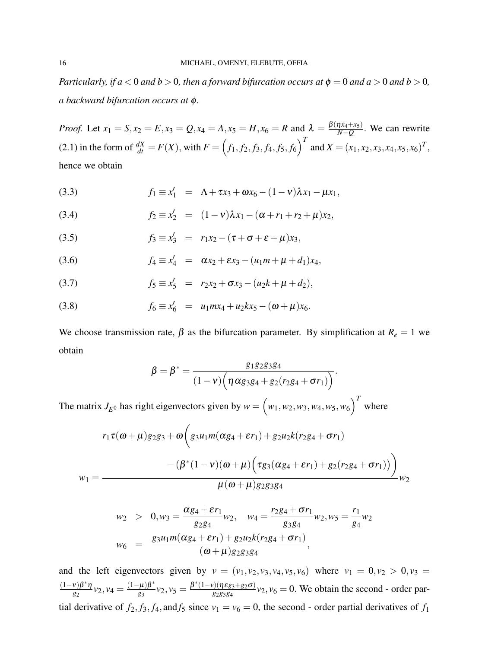*Particularly, if a* < 0 *and b* > 0*, then a forward bifurcation occurs at*  $\phi = 0$  *and a* > 0 *and b* > 0*, a backward bifurcation occurs at* φ*.*

*Proof.* Let  $x_1 = S, x_2 = E, x_3 = Q, x_4 = A, x_5 = H, x_6 = R$  and  $\lambda = \frac{\beta(\eta x_4 + x_5)}{N - Q}$  $\frac{N(A+X_5)}{N-Q}$ . We can rewrite [\(2.1\)](#page-6-0) in the form of  $\frac{dX}{dt} = F(X)$ , with  $F = (f_1, f_2, f_3, f_4, f_5, f_6)^T$  and  $X = (x_1, x_2, x_3, x_4, x_5, x_6)^T$ , hence we obtain

(3.3) 
$$
f_1 \equiv x'_1 = \Lambda + \tau x_3 + \omega x_6 - (1 - v)\lambda x_1 - \mu x_1,
$$

(3.4) 
$$
f_2 \equiv x'_2 = (1 - v)\lambda x_1 - (\alpha + r_1 + r_2 + \mu)x_2,
$$

(3.5) 
$$
f_3 \equiv x'_3 = r_1x_2 - (\tau + \sigma + \varepsilon + \mu)x_3,
$$

(3.6) 
$$
f_4 \equiv x'_4 = \alpha x_2 + \epsilon x_3 - (u_1 m + \mu + d_1) x_4,
$$

(3.7) 
$$
f_5 \equiv x'_5 = r_2x_2 + \sigma x_3 - (u_2k + \mu + d_2),
$$

(3.8) 
$$
f_6 \equiv x'_6 = u_1 m x_4 + u_2 k x_5 - (\omega + \mu) x_6.
$$

We choose transmission rate,  $\beta$  as the bifurcation parameter. By simplification at  $R_e = 1$  we obtain

$$
\beta = \beta^* = \frac{g_{1}g_{2}g_{3}g_{4}}{(1-v)\left(\eta \alpha g_{3}g_{4} + g_{2}(r_{2}g_{4} + \sigma r_{1})\right)}.
$$

The matrix  $J_{E^0}$  has right eigenvectors given by  $w = (w_1, w_2, w_3, w_4, w_5, w_6)^T$  where

$$
r_1 \tau(\omega + \mu) g_2 g_3 + \omega \left( g_3 u_1 m(\alpha g_4 + \varepsilon r_1) + g_2 u_2 k (r_2 g_4 + \sigma r_1) - (\beta^* (1 - v)(\omega + \mu) \left( \tau g_3 (\alpha g_4 + \varepsilon r_1) + g_2 (r_2 g_4 + \sigma r_1) \right) \right) + \omega_1
$$
  

$$
\mu(\omega + \mu) g_2 g_3 g_4
$$

$$
w_2 > 0, w_3 = \frac{\alpha g_4 + \varepsilon r_1}{g_2 g_4} w_2, \quad w_4 = \frac{r_2 g_4 + \sigma r_1}{g_3 g_4} w_2, w_5 = \frac{r_1}{g_4} w_2
$$
  

$$
w_6 = \frac{g_3 u_1 m(\alpha g_4 + \varepsilon r_1) + g_2 u_2 k(r_2 g_4 + \sigma r_1)}{(\omega + \mu) g_2 g_3 g_4},
$$

and the left eigenvectors given by  $v = (v_1, v_2, v_3, v_4, v_5, v_6)$  where  $v_1 = 0, v_2 > 0, v_3 =$ (1−ν)β ∗η  $\frac{\nu}{\beta^2} \frac{\beta^* \eta}{\nu_2, \nu_4} = \frac{(1-\mu)\beta^*}{g_3}$  $(v_2, v_5 = \frac{\beta^*(1-v)(\eta \varepsilon_{g_3+g_2 \sigma})}{g_2 g_3 g_4}$  $\frac{y_1(\eta \epsilon g_3 + g_2 \sigma)}{g_2 g_3 g_4} v_2$ ,  $v_6 = 0$ . We obtain the second - order partial derivative of  $f_2$ ,  $f_3$ ,  $f_4$ , and  $f_5$  since  $v_1 = v_6 = 0$ , the second - order partial derivatives of  $f_1$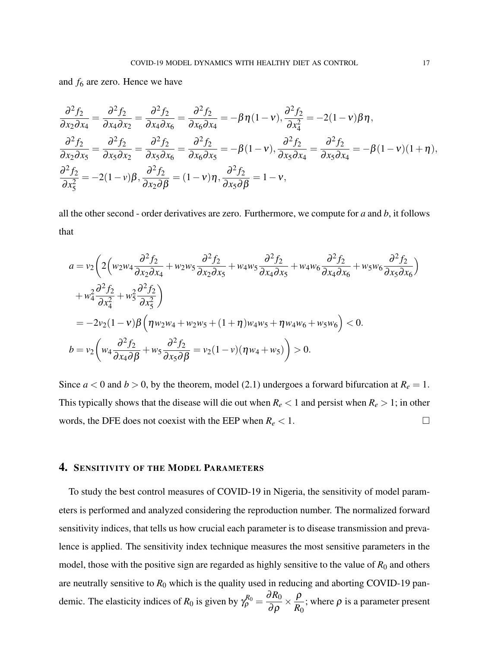and *f*<sup>6</sup> are zero. Hence we have

$$
\frac{\partial^2 f_2}{\partial x_2 \partial x_4} = \frac{\partial^2 f_2}{\partial x_4 \partial x_2} = \frac{\partial^2 f_2}{\partial x_4 \partial x_6} = \frac{\partial^2 f_2}{\partial x_6 \partial x_4} = -\beta \eta (1 - v), \frac{\partial^2 f_2}{\partial x_4^2} = -2(1 - v)\beta \eta,
$$
  

$$
\frac{\partial^2 f_2}{\partial x_2 \partial x_5} = \frac{\partial^2 f_2}{\partial x_5 \partial x_2} = \frac{\partial^2 f_2}{\partial x_5 \partial x_6} = \frac{\partial^2 f_2}{\partial x_6 \partial x_5} = -\beta (1 - v), \frac{\partial^2 f_2}{\partial x_5 \partial x_4} = \frac{\partial^2 f_2}{\partial x_5 \partial x_4} = -\beta (1 - v)(1 + \eta),
$$
  

$$
\frac{\partial^2 f_2}{\partial x_5^2} = -2(1 - v)\beta, \frac{\partial^2 f_2}{\partial x_2 \partial \beta} = (1 - v)\eta, \frac{\partial^2 f_2}{\partial x_5 \partial \beta} = 1 - v,
$$

all the other second - order derivatives are zero. Furthermore, we compute for *a* and *b*, it follows that

$$
a = v_2 \left( 2 \left( w_2 w_4 \frac{\partial^2 f_2}{\partial x_2 \partial x_4} + w_2 w_5 \frac{\partial^2 f_2}{\partial x_2 \partial x_5} + w_4 w_5 \frac{\partial^2 f_2}{\partial x_4 \partial x_5} + w_4 w_6 \frac{\partial^2 f_2}{\partial x_4 \partial x_6} + w_5 w_6 \frac{\partial^2 f_2}{\partial x_5 \partial x_6} \right)
$$
  
+ 
$$
w_4^2 \frac{\partial^2 f_2}{\partial x_4^2} + w_5^2 \frac{\partial^2 f_2}{\partial x_5^2} \right)
$$
  
= 
$$
-2v_2 (1 - v) \beta \left( \eta w_2 w_4 + w_2 w_5 + (1 + \eta) w_4 w_5 + \eta w_4 w_6 + w_5 w_6 \right) < 0.
$$
  

$$
b = v_2 \left( w_4 \frac{\partial^2 f_2}{\partial x_4 \partial \beta} + w_5 \frac{\partial^2 f_2}{\partial x_5 \partial \beta} = v_2 (1 - v) (\eta w_4 + w_5) \right) > 0.
$$

Since  $a < 0$  and  $b > 0$ , by the theorem, model [\(2.1\)](#page-6-0) undergoes a forward bifurcation at  $R_e = 1$ . This typically shows that the disease will die out when  $R_e$  < 1 and persist when  $R_e$  > 1; in other words, the DFE does not coexist with the EEP when  $R_e < 1$ .

# 4. SENSITIVITY OF THE MODEL PARAMETERS

To study the best control measures of COVID-19 in Nigeria, the sensitivity of model parameters is performed and analyzed considering the reproduction number. The normalized forward sensitivity indices, that tells us how crucial each parameter is to disease transmission and prevalence is applied. The sensitivity index technique measures the most sensitive parameters in the model, those with the positive sign are regarded as highly sensitive to the value of  $R_0$  and others are neutrally sensitive to  $R_0$  which is the quality used in reducing and aborting COVID-19 pandemic. The elasticity indices of  $R_0$  is given by  $\gamma_{\rho}^{R_0} =$  $\frac{\partial R_0}{\partial \rho}\times \frac{\rho}{R_0}$  $\frac{P}{R_0}$ ; where  $\rho$  is a parameter present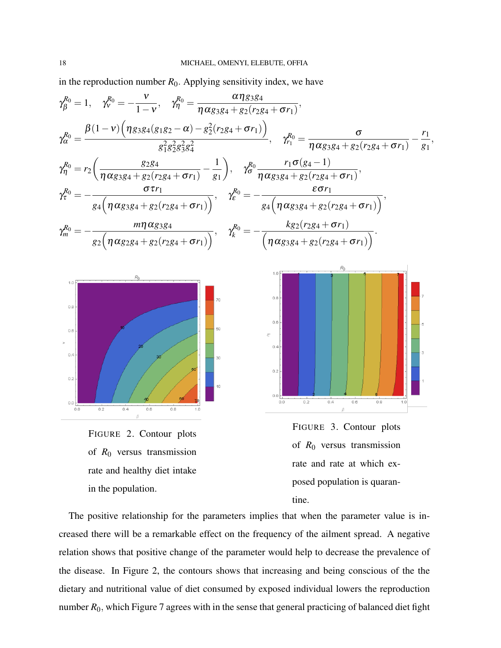in the reproduction number  $R_0$ . Applying sensitivity index, we have

$$
\gamma_{\beta}^{R_0} = 1, \quad \gamma_{\gamma}^{R_0} = -\frac{v}{1-v}, \quad \gamma_{\eta}^{R_0} = \frac{\alpha \eta g_{3}g_4}{\eta \alpha g_{3}g_4 + g_2(r_{2}g_4 + \sigma r_1)},
$$
\n
$$
\gamma_{\alpha}^{R_0} = \frac{\beta (1-v) (\eta g_{3}g_4(g_{1}g_{2} - \alpha) - g_2^2(r_{2}g_4 + \sigma r_1))}{g_1^2 g_1^2 g_2^2 g_3^2 g_4^2}, \quad \gamma_{\eta}^{R_0} = \frac{\sigma}{\eta \alpha g_{3}g_4 + g_2(r_{2}g_4 + \sigma r_1)} - \frac{r_1}{g_1},
$$
\n
$$
\gamma_{\eta}^{R_0} = r_2 \left( \frac{g_{2}g_4}{\eta \alpha g_{3}g_4 + g_2(r_{2}g_4 + \sigma r_1)} - \frac{1}{g_1} \right), \quad \gamma_{\sigma}^{R_0} \frac{r_1 \sigma (g_4 - 1)}{\eta \alpha g_{3}g_4 + g_2(r_{2}g_4 + \sigma r_1)},
$$
\n
$$
\gamma_{\tau}^{R_0} = -\frac{\sigma r_1}{g_4 \left( \eta \alpha g_{3}g_4 + g_2(r_{2}g_4 + \sigma r_1) \right)}, \quad \gamma_{\kappa}^{R_0} = -\frac{k g_2(r_{2}g_4 + \sigma r_1)}{\left( \eta \alpha g_{3}g_4 + g_2(r_{2}g_4 + \sigma r_1) \right)}.
$$
\n
$$
\gamma_{\kappa}^{R_0} = -\frac{m \eta \alpha g_{3}g_4}{g_2 \left( \eta \alpha g_{2}g_4 + g_2(r_{2}g_4 + \sigma r_1) \right)}, \quad \gamma_{\kappa}^{R_0} = -\frac{k g_2(r_{2}g_4 + \sigma r_1)}{\left( \eta \alpha g_{3}g_4 + g_2(r_{2}g_4 + \sigma r_1) \right)}.
$$

<span id="page-17-0"></span>

<span id="page-17-1"></span>

The positive relationship for the parameters implies that when the parameter value is increased there will be a remarkable effect on the frequency of the ailment spread. A negative relation shows that positive change of the parameter would help to decrease the prevalence of the disease. In Figure [2,](#page-17-0) the contours shows that increasing and being conscious of the the dietary and nutritional value of diet consumed by exposed individual lowers the reproduction number  $R_0$ , which Figure [7](#page-19-0) agrees with in the sense that general practicing of balanced diet fight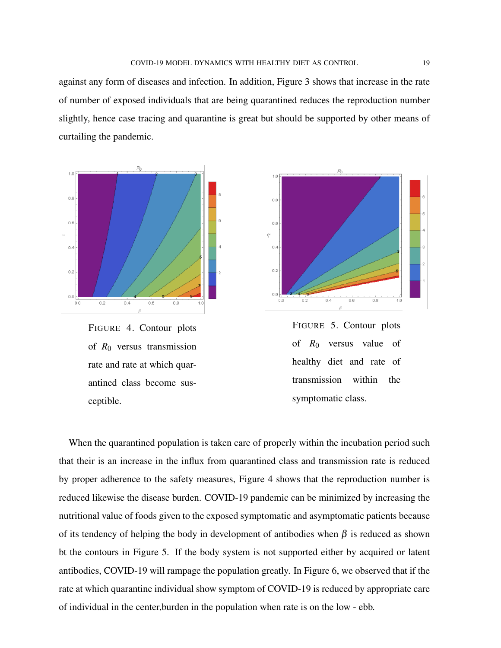against any form of diseases and infection. In addition, Figure [3](#page-17-1) shows that increase in the rate of number of exposed individuals that are being quarantined reduces the reproduction number slightly, hence case tracing and quarantine is great but should be supported by other means of curtailing the pandemic.



<span id="page-18-0"></span>FIGURE 4. Contour plots of *R*<sup>0</sup> versus transmission rate and rate at which quarantined class become susceptible.



<span id="page-18-1"></span>

When the quarantined population is taken care of properly within the incubation period such that their is an increase in the influx from quarantined class and transmission rate is reduced by proper adherence to the safety measures, Figure [4](#page-18-0) shows that the reproduction number is reduced likewise the disease burden. COVID-19 pandemic can be minimized by increasing the nutritional value of foods given to the exposed symptomatic and asymptomatic patients because of its tendency of helping the body in development of antibodies when  $\beta$  is reduced as shown bt the contours in Figure [5.](#page-18-1) If the body system is not supported either by acquired or latent antibodies, COVID-19 will rampage the population greatly. In Figure [6,](#page-19-1) we observed that if the rate at which quarantine individual show symptom of COVID-19 is reduced by appropriate care of individual in the center,burden in the population when rate is on the low - ebb.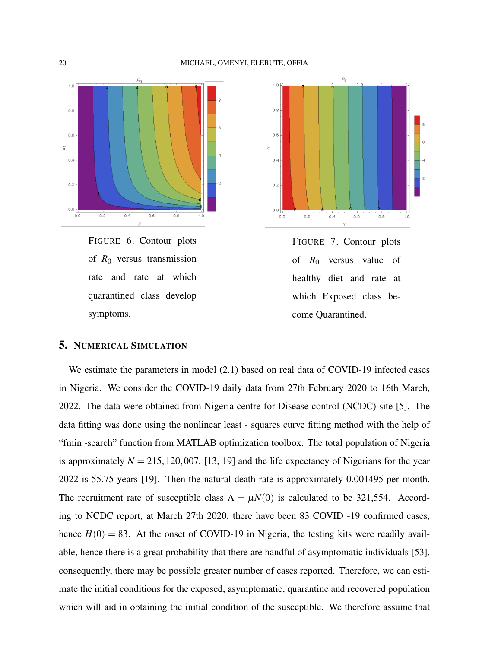

<span id="page-19-1"></span>FIGURE 6. Contour plots of *R*<sup>0</sup> versus transmission rate and rate at which quarantined class develop symptoms.



<span id="page-19-0"></span>FIGURE 7. Contour plots of *R*<sup>0</sup> versus value of healthy diet and rate at which Exposed class become Quarantined.

# 5. NUMERICAL SIMULATION

We estimate the parameters in model [\(2.1\)](#page-6-0) based on real data of COVID-19 infected cases in Nigeria. We consider the COVID-19 daily data from 27th February 2020 to 16th March, 2022. The data were obtained from Nigeria centre for Disease control (NCDC) site [\[5\]](#page-27-9). The data fitting was done using the nonlinear least - squares curve fitting method with the help of "fmin -search" function from MATLAB optimization toolbox. The total population of Nigeria is approximately  $N = 215,120,007,$  [\[13,](#page-28-14) [19\]](#page-28-15) and the life expectancy of Nigerians for the year 2022 is 55.75 years [\[19\]](#page-28-15). Then the natural death rate is approximately 0.001495 per month. The recruitment rate of susceptible class  $\Lambda = \mu N(0)$  is calculated to be 321,554. According to NCDC report, at March 27th 2020, there have been 83 COVID -19 confirmed cases, hence  $H(0) = 83$ . At the onset of COVID-19 in Nigeria, the testing kits were readily available, hence there is a great probability that there are handful of asymptomatic individuals [\[53\]](#page-30-4), consequently, there may be possible greater number of cases reported. Therefore, we can estimate the initial conditions for the exposed, asymptomatic, quarantine and recovered population which will aid in obtaining the initial condition of the susceptible. We therefore assume that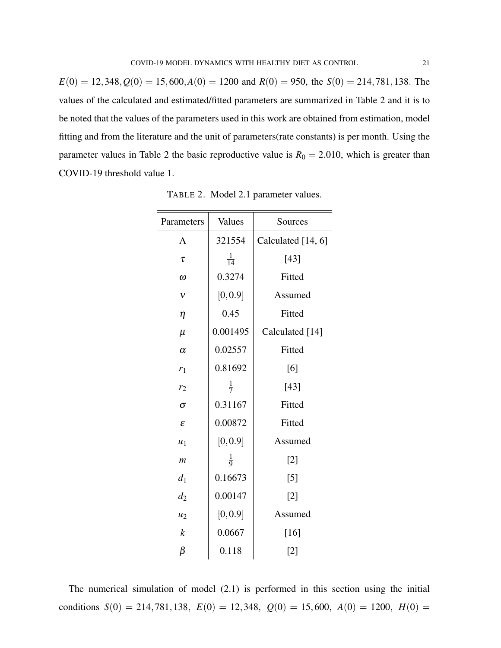$E(0) = 12,348, Q(0) = 15,600, A(0) = 1200$  and  $R(0) = 950$ , the  $S(0) = 214,781,138$ . The values of the calculated and estimated/fitted parameters are summarized in Table [2](#page-20-0) and it is to be noted that the values of the parameters used in this work are obtained from estimation, model fitting and from the literature and the unit of parameters(rate constants) is per month. Using the parameter values in Table [2](#page-20-0) the basic reproductive value is  $R_0 = 2.010$ , which is greater than COVID-19 threshold value 1.

| Parameters            | Values         | Sources            |
|-----------------------|----------------|--------------------|
| $\Lambda$             | 321554         | Calculated [14, 6] |
| τ                     | $\frac{1}{14}$ | [43]               |
| $\omega$              | 0.3274         | Fitted             |
| $\mathcal V$          | [0, 0.9]       | Assumed            |
| $\eta$                | 0.45           | Fitted             |
| $\mu$                 | 0.001495       | Calculated [14]    |
| $\alpha$              | 0.02557        | Fitted             |
| $r_1$                 | 0.81692        | [6]                |
| r <sub>2</sub>        | $\frac{1}{7}$  | $[43]$             |
| $\sigma$              | 0.31167        | Fitted             |
| $\mathcal{E}_{0}^{2}$ | 0.00872        | Fitted             |
| $u_1$                 | [0, 0.9]       | Assumed            |
| $\boldsymbol{m}$      | $\frac{1}{9}$  | $[2]$              |
| $d_1$                 | 0.16673        | $[5]$              |
| $d_2$                 | 0.00147        | $[2]$              |
| $u_2$                 | [0, 0.9]       | Assumed            |
| $\boldsymbol{k}$      | 0.0667         | $[16]$             |
| β                     | 0.118          | [2]                |

<span id="page-20-0"></span>TABLE 2. Model [2.1](#page-6-0) parameter values.

The numerical simulation of model [\(2.1\)](#page-6-0) is performed in this section using the initial conditions  $S(0) = 214,781,138$ ,  $E(0) = 12,348$ ,  $Q(0) = 15,600$ ,  $A(0) = 1200$ ,  $H(0) =$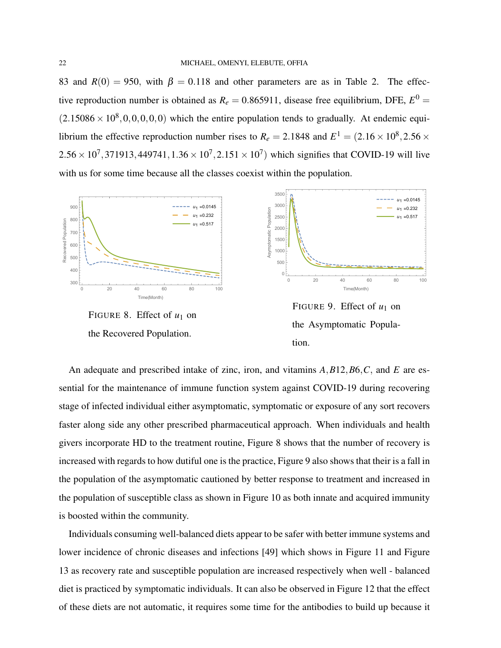83 and  $R(0) = 950$ , with  $\beta = 0.118$  and other parameters are as in Table [2.](#page-20-0) The effective reproduction number is obtained as  $R_e = 0.865911$ , disease free equilibrium, DFE,  $E^0 =$  $(2.15086 \times 10^8, 0, 0, 0, 0, 0)$  which the entire population tends to gradually. At endemic equilibrium the effective reproduction number rises to  $R_e = 2.1848$  and  $E^1 = (2.16 \times 10^8, 2.56 \times$  $2.56 \times 10^7,371913,449741,1.36 \times 10^7,2.151 \times 10^7)$  which signifies that COVID-19 will live with us for some time because all the classes coexist within the population.



<span id="page-21-0"></span>FIGURE 8. Effect of  $u_1$  on the Recovered Population.



<span id="page-21-1"></span>FIGURE 9. Effect of  $u_1$  on the Asymptomatic Population.

An adequate and prescribed intake of zinc, iron, and vitamins *A*,*B*12,*B*6,*C*, and *E* are essential for the maintenance of immune function system against COVID-19 during recovering stage of infected individual either asymptomatic, symptomatic or exposure of any sort recovers faster along side any other prescribed pharmaceutical approach. When individuals and health givers incorporate HD to the treatment routine, Figure [8](#page-21-0) shows that the number of recovery is increased with regards to how dutiful one is the practice, Figure [9](#page-21-1) also shows that their is a fall in the population of the asymptomatic cautioned by better response to treatment and increased in the population of susceptible class as shown in Figure [10](#page-22-0) as both innate and acquired immunity is boosted within the community.

Individuals consuming well-balanced diets appear to be safer with better immune systems and lower incidence of chronic diseases and infections [\[49\]](#page-30-7) which shows in Figure [11](#page-22-1) and Figure [13](#page-22-2) as recovery rate and susceptible population are increased respectively when well - balanced diet is practiced by symptomatic individuals. It can also be observed in Figure [12](#page-22-3) that the effect of these diets are not automatic, it requires some time for the antibodies to build up because it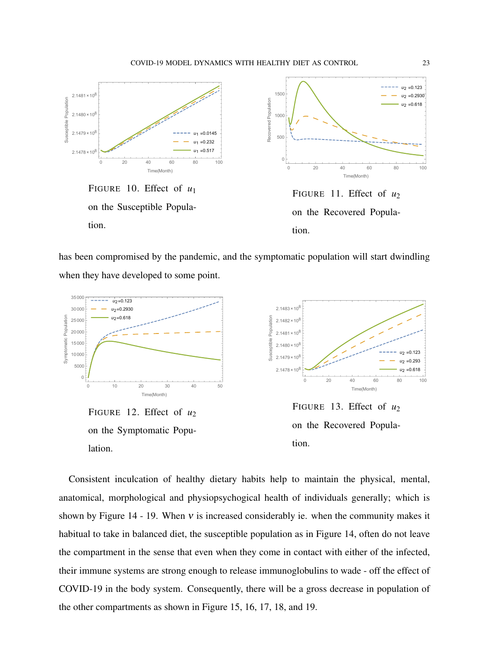

<span id="page-22-1"></span><span id="page-22-0"></span>has been compromised by the pandemic, and the symptomatic population will start dwindling when they have developed to some point.



<span id="page-22-3"></span><span id="page-22-2"></span>Consistent inculcation of healthy dietary habits help to maintain the physical, mental, anatomical, morphological and physiopsychogical health of individuals generally; which is shown by Figure [14](#page-23-0) - [19.](#page-23-1) When  $v$  is increased considerably ie. when the community makes it habitual to take in balanced diet, the susceptible population as in Figure [14,](#page-23-0) often do not leave the compartment in the sense that even when they come in contact with either of the infected, their immune systems are strong enough to release immunoglobulins to wade - off the effect of COVID-19 in the body system. Consequently, there will be a gross decrease in population of the other compartments as shown in Figure [15,](#page-23-2) [16,](#page-23-3) [17,](#page-23-4) [18,](#page-23-5) and [19.](#page-23-1)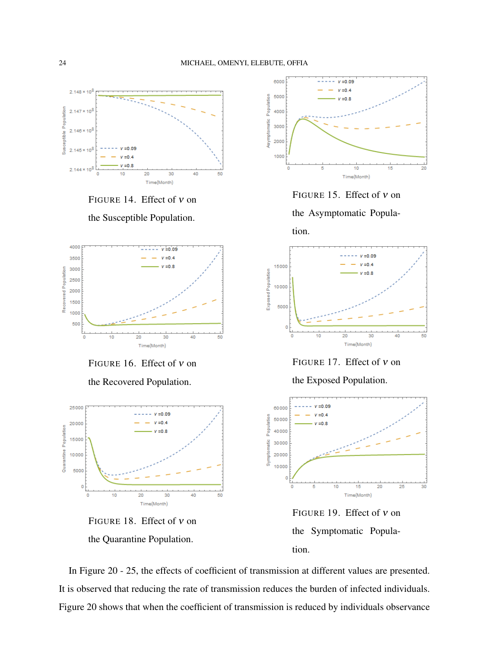

<span id="page-23-0"></span>FIGURE 14. Effect of ν on

the Susceptible Population.



<span id="page-23-3"></span>FIGURE 16. Effect of ν on

the Recovered Population.



<span id="page-23-5"></span>FIGURE 18. Effect of ν on the Quarantine Population.



<span id="page-23-2"></span>FIGURE 15. Effect of ν on

the Asymptomatic Popula-





<span id="page-23-4"></span>FIGURE 17. Effect of ν on

the Exposed Population.



<span id="page-23-1"></span>FIGURE 19. Effect of ν on the Symptomatic Population.

In Figure [20](#page-24-0) - [25,](#page-25-0) the effects of coefficient of transmission at different values are presented. It is observed that reducing the rate of transmission reduces the burden of infected individuals. Figure [20](#page-24-0) shows that when the coefficient of transmission is reduced by individuals observance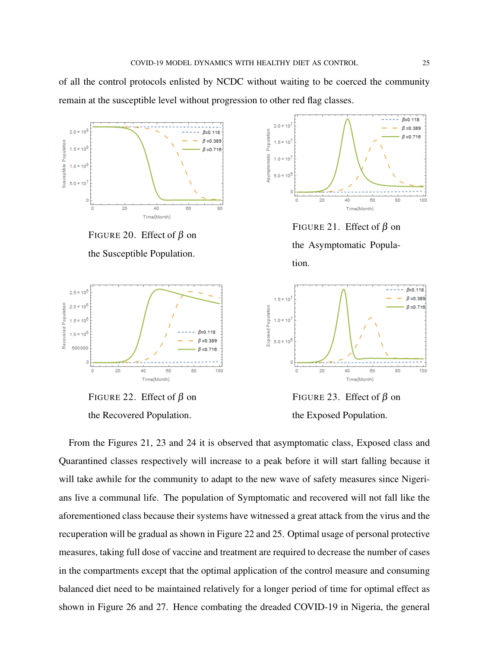of all the control protocols enlisted by NCDC without waiting to be coerced the community remain at the susceptible level without progression to other red flag classes.



<span id="page-24-0"></span>FIGURE 20. Effect of  $\beta$  on the Susceptible Population.



<span id="page-24-3"></span>FIGURE 22. Effect of  $\beta$  on the Recovered Population.



<span id="page-24-1"></span>FIGURE 21. Effect of  $\beta$  on the Asymptomatic Population.



<span id="page-24-2"></span>FIGURE 23. Effect of  $\beta$  on the Exposed Population.

From the Figures [21,](#page-24-1) [23](#page-24-2) and [24](#page-25-1) it is observed that asymptomatic class, Exposed class and Quarantined classes respectively will increase to a peak before it will start falling because it will take awhile for the community to adapt to the new wave of safety measures since Nigerians live a communal life. The population of Symptomatic and recovered will not fall like the aforementioned class because their systems have witnessed a great attack from the virus and the recuperation will be gradual as shown in Figure [22](#page-24-3) and [25.](#page-25-0) Optimal usage of personal protective measures, taking full dose of vaccine and treatment are required to decrease the number of cases in the compartments except that the optimal application of the control measure and consuming balanced diet need to be maintained relatively for a longer period of time for optimal effect as shown in Figure [26](#page-25-2) and [27.](#page-25-3) Hence combating the dreaded COVID-19 in Nigeria, the general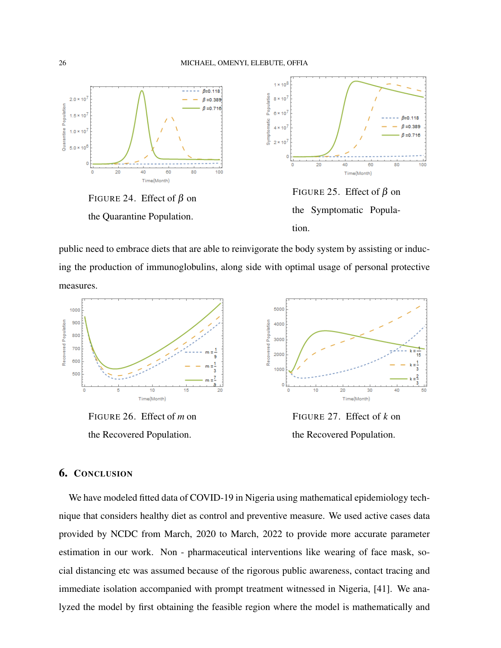

<span id="page-25-1"></span>public need to embrace diets that are able to reinvigorate the body system by assisting or inducing the production of immunoglobulins, along side with optimal usage of personal protective measures.



<span id="page-25-2"></span>FIGURE 26. Effect of *m* on the Recovered Population.

<span id="page-25-0"></span>

<span id="page-25-3"></span>FIGURE 27. Effect of *k* on the Recovered Population.

## 6. CONCLUSION

We have modeled fitted data of COVID-19 in Nigeria using mathematical epidemiology technique that considers healthy diet as control and preventive measure. We used active cases data provided by NCDC from March, 2020 to March, 2022 to provide more accurate parameter estimation in our work. Non - pharmaceutical interventions like wearing of face mask, social distancing etc was assumed because of the rigorous public awareness, contact tracing and immediate isolation accompanied with prompt treatment witnessed in Nigeria, [\[41\]](#page-29-14). We analyzed the model by first obtaining the feasible region where the model is mathematically and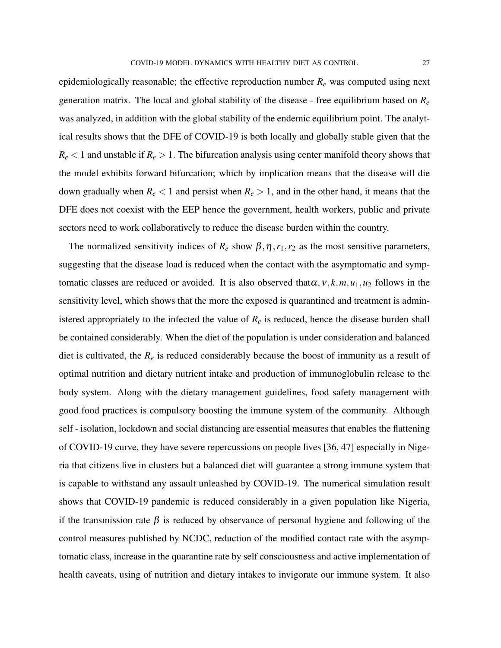epidemiologically reasonable; the effective reproduction number *R<sup>e</sup>* was computed using next generation matrix. The local and global stability of the disease - free equilibrium based on *R<sup>e</sup>* was analyzed, in addition with the global stability of the endemic equilibrium point. The analytical results shows that the DFE of COVID-19 is both locally and globally stable given that the  $R_e$  < 1 and unstable if  $R_e$  > 1. The bifurcation analysis using center manifold theory shows that the model exhibits forward bifurcation; which by implication means that the disease will die down gradually when  $R_e < 1$  and persist when  $R_e > 1$ , and in the other hand, it means that the DFE does not coexist with the EEP hence the government, health workers, public and private sectors need to work collaboratively to reduce the disease burden within the country.

The normalized sensitivity indices of  $R_e$  show  $\beta$ ,  $\eta$ ,  $r_1$ ,  $r_2$  as the most sensitive parameters, suggesting that the disease load is reduced when the contact with the asymptomatic and symptomatic classes are reduced or avoided. It is also observed that $\alpha$ ,  $v$ ,  $k$ ,  $m$ ,  $u_1$ ,  $u_2$  follows in the sensitivity level, which shows that the more the exposed is quarantined and treatment is administered appropriately to the infected the value of  $R_e$  is reduced, hence the disease burden shall be contained considerably. When the diet of the population is under consideration and balanced diet is cultivated, the  $R_e$  is reduced considerably because the boost of immunity as a result of optimal nutrition and dietary nutrient intake and production of immunoglobulin release to the body system. Along with the dietary management guidelines, food safety management with good food practices is compulsory boosting the immune system of the community. Although self - isolation, lockdown and social distancing are essential measures that enables the flattening of COVID-19 curve, they have severe repercussions on people lives [\[36,](#page-29-15) [47\]](#page-30-8) especially in Nigeria that citizens live in clusters but a balanced diet will guarantee a strong immune system that is capable to withstand any assault unleashed by COVID-19. The numerical simulation result shows that COVID-19 pandemic is reduced considerably in a given population like Nigeria, if the transmission rate  $\beta$  is reduced by observance of personal hygiene and following of the control measures published by NCDC, reduction of the modified contact rate with the asymptomatic class, increase in the quarantine rate by self consciousness and active implementation of health caveats, using of nutrition and dietary intakes to invigorate our immune system. It also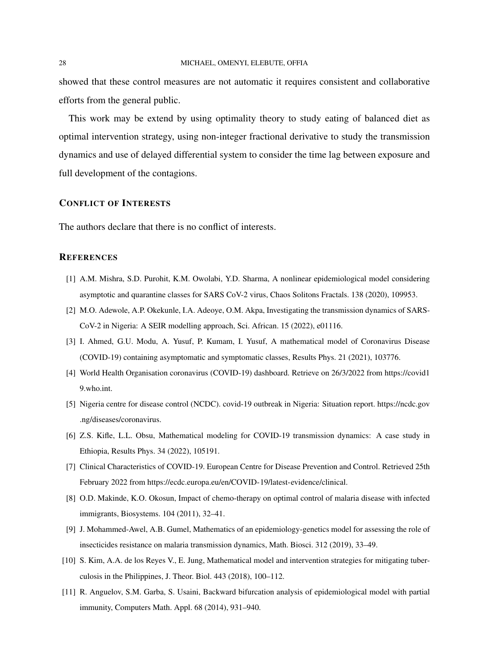#### 28 MICHAEL, OMENYI, ELEBUTE, OFFIA

showed that these control measures are not automatic it requires consistent and collaborative efforts from the general public.

This work may be extend by using optimality theory to study eating of balanced diet as optimal intervention strategy, using non-integer fractional derivative to study the transmission dynamics and use of delayed differential system to consider the time lag between exposure and full development of the contagions.

#### CONFLICT OF INTERESTS

The authors declare that there is no conflict of interests.

#### **REFERENCES**

- <span id="page-27-7"></span>[1] A.M. Mishra, S.D. Purohit, K.M. Owolabi, Y.D. Sharma, A nonlinear epidemiological model considering asymptotic and quarantine classes for SARS CoV-2 virus, Chaos Solitons Fractals. 138 (2020), 109953.
- <span id="page-27-10"></span>[2] M.O. Adewole, A.P. Okekunle, I.A. Adeoye, O.M. Akpa, Investigating the transmission dynamics of SARS-CoV-2 in Nigeria: A SEIR modelling approach, Sci. African. 15 (2022), e01116.
- <span id="page-27-6"></span>[3] I. Ahmed, G.U. Modu, A. Yusuf, P. Kumam, I. Yusuf, A mathematical model of Coronavirus Disease (COVID-19) containing asymptomatic and symptomatic classes, Results Phys. 21 (2021), 103776.
- <span id="page-27-0"></span>[4] World Health Organisation coronavirus (COVID-19) dashboard. Retrieve on 26/3/2022 from [https://covid1](https://covid19.who.int) [9.who.int.](https://covid19.who.int)
- <span id="page-27-9"></span>[5] Nigeria centre for disease control (NCDC). covid-19 outbreak in Nigeria: Situation report. [https://ncdc.gov](https://ncdc.gov.ng/diseases/coronavirus.) [.ng/diseases/coronavirus.](https://ncdc.gov.ng/diseases/coronavirus.)
- <span id="page-27-1"></span>[6] Z.S. Kifle, L.L. Obsu, Mathematical modeling for COVID-19 transmission dynamics: A case study in Ethiopia, Results Phys. 34 (2022), 105191.
- <span id="page-27-2"></span>[7] Clinical Characteristics of COVID-19. European Centre for Disease Prevention and Control. Retrieved 25th February 2022 from [https://ecdc.europa.eu/en/COVID-19/latest-evidence/clinical.](https://ecdc.europa.eu/en/COVID-19/latest - evidence/clinical.)
- <span id="page-27-3"></span>[8] O.D. Makinde, K.O. Okosun, Impact of chemo-therapy on optimal control of malaria disease with infected immigrants, Biosystems. 104 (2011), 32–41.
- <span id="page-27-4"></span>[9] J. Mohammed-Awel, A.B. Gumel, Mathematics of an epidemiology-genetics model for assessing the role of insecticides resistance on malaria transmission dynamics, Math. Biosci. 312 (2019), 33–49.
- <span id="page-27-5"></span>[10] S. Kim, A.A. de los Reyes V., E. Jung, Mathematical model and intervention strategies for mitigating tuberculosis in the Philippines, J. Theor. Biol. 443 (2018), 100–112.
- <span id="page-27-8"></span>[11] R. Anguelov, S.M. Garba, S. Usaini, Backward bifurcation analysis of epidemiological model with partial immunity, Computers Math. Appl. 68 (2014), 931–940.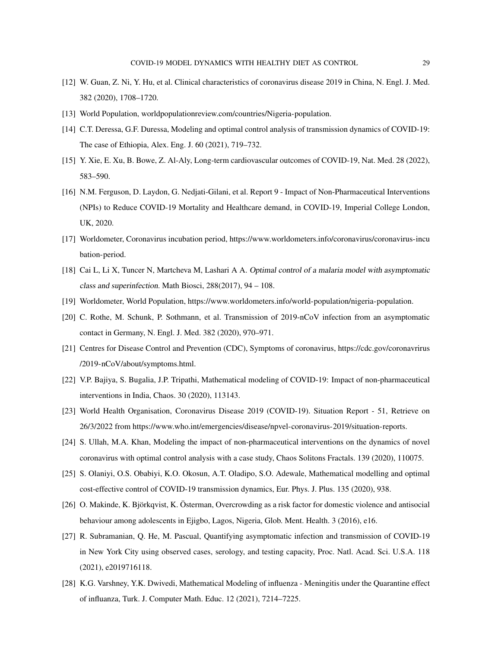- <span id="page-28-1"></span>[12] W. Guan, Z. Ni, Y. Hu, et al. Clinical characteristics of coronavirus disease 2019 in China, N. Engl. J. Med. 382 (2020), 1708–1720.
- <span id="page-28-14"></span><span id="page-28-12"></span>[13] World Population, [worldpopulationreview.com/countries/Nigeria-population.](worldpopulationreview.com/countries/Nigeria-population)
- [14] C.T. Deressa, G.F. Duressa, Modeling and optimal control analysis of transmission dynamics of COVID-19: The case of Ethiopia, Alex. Eng. J. 60 (2021), 719–732.
- <span id="page-28-2"></span>[15] Y. Xie, E. Xu, B. Bowe, Z. Al-Aly, Long-term cardiovascular outcomes of COVID-19, Nat. Med. 28 (2022), 583–590.
- <span id="page-28-16"></span>[16] N.M. Ferguson, D. Laydon, G. Nedjati-Gilani, et al. Report 9 - Impact of Non-Pharmaceutical Interventions (NPIs) to Reduce COVID-19 Mortality and Healthcare demand, in COVID-19, Imperial College London, UK, 2020.
- <span id="page-28-3"></span>[17] Worldometer, Coronavirus incubation period, [https://www.worldometers.info/coronavirus/coronavirus-incu](https://www.worldometers.info/coronavirus/coronavirus-incubation-period) [bation-period.](https://www.worldometers.info/coronavirus/coronavirus-incubation-period)
- <span id="page-28-8"></span>[18] Cai L, Li X, Tuncer N, Martcheva M, Lashari A A. Optimal control of a malaria model with asymptomatic class and superinfection. Math Biosci, 288(2017), 94 – 108.
- <span id="page-28-15"></span><span id="page-28-4"></span>[19] Worldometer, World Population, [https://www.worldometers.info/world-population/nigeria-population.](https://www.worldometers.info/world-population/nigeria-population)
- [20] C. Rothe, M. Schunk, P. Sothmann, et al. Transmission of 2019-nCoV infection from an asymptomatic contact in Germany, N. Engl. J. Med. 382 (2020), 970–971.
- <span id="page-28-5"></span>[21] Centres for Disease Control and Prevention (CDC), Symptoms of coronavirus, [https://cdc.gov/coronavrirus](https://cdc.gov/coronavrirus/2019-nCoV/about/symptoms.html) [/2019-nCoV/about/symptoms.html.](https://cdc.gov/coronavrirus/2019-nCoV/about/symptoms.html)
- <span id="page-28-9"></span>[22] V.P. Bajiya, S. Bugalia, J.P. Tripathi, Mathematical modeling of COVID-19: Impact of non-pharmaceutical interventions in India, Chaos. 30 (2020), 113143.
- <span id="page-28-0"></span>[23] World Health Organisation, Coronavirus Disease 2019 (COVID-19). Situation Report - 51, Retrieve on 26/3/2022 from [https://www.who.int/emergencies/disease/npvel-coronavirus-2019/situation-reports.](https://www.who.int/emergencies/disease/npvel-coronavirus-2019/situation-reports)
- <span id="page-28-10"></span>[24] S. Ullah, M.A. Khan, Modeling the impact of non-pharmaceutical interventions on the dynamics of novel coronavirus with optimal control analysis with a case study, Chaos Solitons Fractals. 139 (2020), 110075.
- <span id="page-28-11"></span>[25] S. Olaniyi, O.S. Obabiyi, K.O. Okosun, A.T. Oladipo, S.O. Adewale, Mathematical modelling and optimal cost-effective control of COVID-19 transmission dynamics, Eur. Phys. J. Plus. 135 (2020), 938.
- <span id="page-28-6"></span>[26] O. Makinde, K. Björkqvist, K. Österman, Overcrowding as a risk factor for domestic violence and antisocial behaviour among adolescents in Ejigbo, Lagos, Nigeria, Glob. Ment. Health. 3 (2016), e16.
- <span id="page-28-13"></span>[27] R. Subramanian, Q. He, M. Pascual, Quantifying asymptomatic infection and transmission of COVID-19 in New York City using observed cases, serology, and testing capacity, Proc. Natl. Acad. Sci. U.S.A. 118 (2021), e2019716118.
- <span id="page-28-7"></span>[28] K.G. Varshney, Y.K. Dwivedi, Mathematical Modeling of influenza - Meningitis under the Quarantine effect of influanza, Turk. J. Computer Math. Educ. 12 (2021), 7214–7225.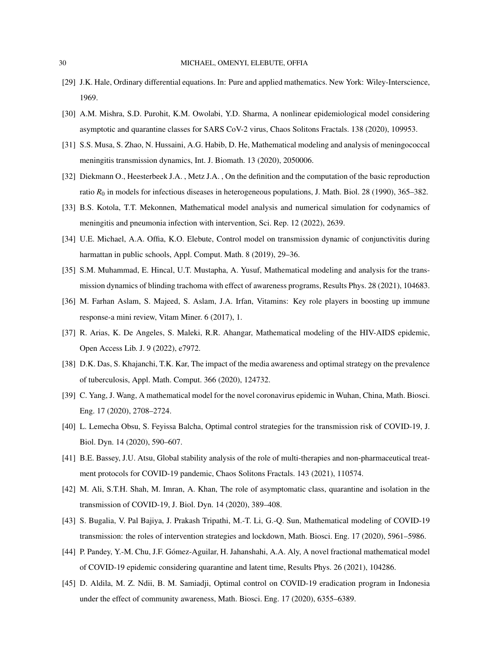- <span id="page-29-12"></span>[29] J.K. Hale, Ordinary differential equations. In: Pure and applied mathematics. New York: Wiley-Interscience, 1969.
- [30] A.M. Mishra, S.D. Purohit, K.M. Owolabi, Y.D. Sharma, A nonlinear epidemiological model considering asymptotic and quarantine classes for SARS CoV-2 virus, Chaos Solitons Fractals. 138 (2020), 109953.
- <span id="page-29-0"></span>[31] S.S. Musa, S. Zhao, N. Hussaini, A.G. Habib, D. He, Mathematical modeling and analysis of meningococcal meningitis transmission dynamics, Int. J. Biomath. 13 (2020), 2050006.
- <span id="page-29-13"></span>[32] Diekmann O., Heesterbeek J.A. , Metz J.A. , On the definition and the computation of the basic reproduction ratio *R*<sub>0</sub> in models for infectious diseases in heterogeneous populations, J. Math. Biol. 28 (1990), 365–382.
- <span id="page-29-1"></span>[33] B.S. Kotola, T.T. Mekonnen, Mathematical model analysis and numerical simulation for codynamics of meningitis and pneumonia infection with intervention, Sci. Rep. 12 (2022), 2639.
- <span id="page-29-2"></span>[34] U.E. Michael, A.A. Offia, K.O. Elebute, Control model on transmission dynamic of conjunctivitis during harmattan in public schools, Appl. Comput. Math. 8 (2019), 29–36.
- <span id="page-29-3"></span>[35] S.M. Muhammad, E. Hincal, U.T. Mustapha, A. Yusuf, Mathematical modeling and analysis for the transmission dynamics of blinding trachoma with effect of awareness programs, Results Phys. 28 (2021), 104683.
- <span id="page-29-15"></span>[36] M. Farhan Aslam, S. Majeed, S. Aslam, J.A. Irfan, Vitamins: Key role players in boosting up immune response-a mini review, Vitam Miner. 6 (2017), 1.
- <span id="page-29-4"></span>[37] R. Arias, K. De Angeles, S. Maleki, R.R. Ahangar, Mathematical modeling of the HIV-AIDS epidemic, Open Access Lib. J. 9 (2022), e7972.
- <span id="page-29-5"></span>[38] D.K. Das, S. Khajanchi, T.K. Kar, The impact of the media awareness and optimal strategy on the prevalence of tuberculosis, Appl. Math. Comput. 366 (2020), 124732.
- <span id="page-29-6"></span>[39] C. Yang, J. Wang, A mathematical model for the novel coronavirus epidemic in Wuhan, China, Math. Biosci. Eng. 17 (2020), 2708–2724.
- <span id="page-29-7"></span>[40] L. Lemecha Obsu, S. Feyissa Balcha, Optimal control strategies for the transmission risk of COVID-19, J. Biol. Dyn. 14 (2020), 590–607.
- <span id="page-29-14"></span>[41] B.E. Bassey, J.U. Atsu, Global stability analysis of the role of multi-therapies and non-pharmaceutical treatment protocols for COVID-19 pandemic, Chaos Solitons Fractals. 143 (2021), 110574.
- <span id="page-29-8"></span>[42] M. Ali, S.T.H. Shah, M. Imran, A. Khan, The role of asymptomatic class, quarantine and isolation in the transmission of COVID-19, J. Biol. Dyn. 14 (2020), 389–408.
- <span id="page-29-9"></span>[43] S. Bugalia, V. Pal Bajiya, J. Prakash Tripathi, M.-T. Li, G.-Q. Sun, Mathematical modeling of COVID-19 transmission: the roles of intervention strategies and lockdown, Math. Biosci. Eng. 17 (2020), 5961–5986.
- <span id="page-29-11"></span>[44] P. Pandey, Y.-M. Chu, J.F. Gómez-Aguilar, H. Jahanshahi, A.A. Aly, A novel fractional mathematical model of COVID-19 epidemic considering quarantine and latent time, Results Phys. 26 (2021), 104286.
- <span id="page-29-10"></span>[45] D. Aldila, M. Z. Ndii, B. M. Samiadji, Optimal control on COVID-19 eradication program in Indonesia under the effect of community awareness, Math. Biosci. Eng. 17 (2020), 6355–6389.